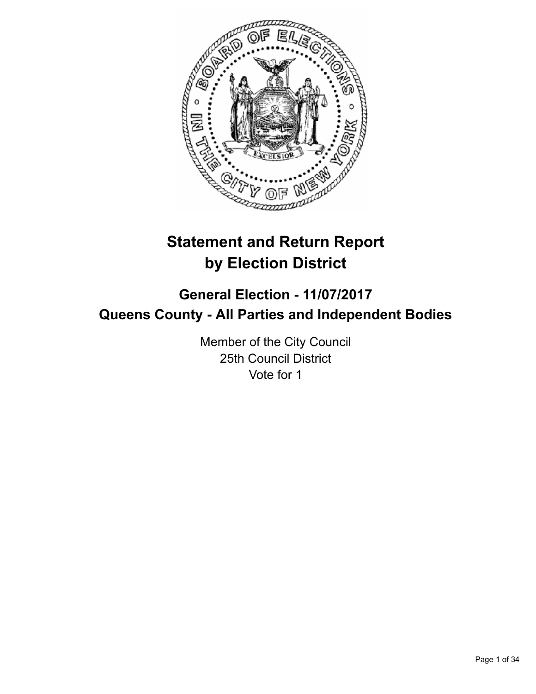

# **Statement and Return Report by Election District**

# **General Election - 11/07/2017 Queens County - All Parties and Independent Bodies**

Member of the City Council 25th Council District Vote for 1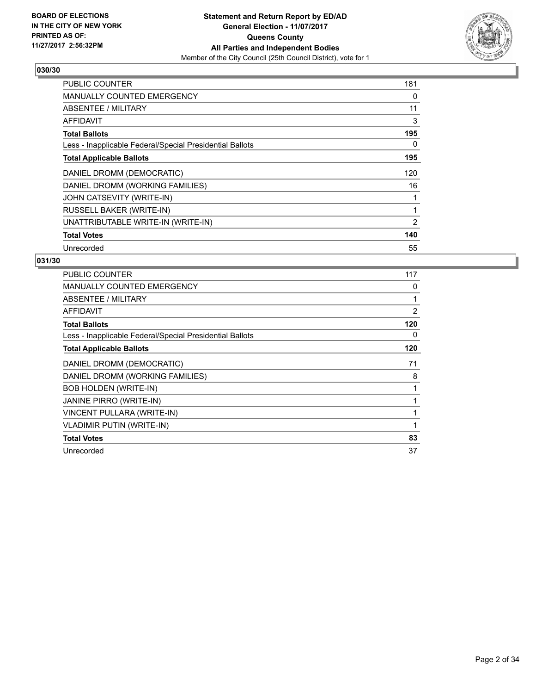

| <b>PUBLIC COUNTER</b>                                    | 181 |
|----------------------------------------------------------|-----|
| <b>MANUALLY COUNTED EMERGENCY</b>                        | 0   |
| <b>ABSENTEE / MILITARY</b>                               | 11  |
| <b>AFFIDAVIT</b>                                         | 3   |
| <b>Total Ballots</b>                                     | 195 |
| Less - Inapplicable Federal/Special Presidential Ballots | 0   |
| <b>Total Applicable Ballots</b>                          | 195 |
| DANIEL DROMM (DEMOCRATIC)                                | 120 |
| DANIEL DROMM (WORKING FAMILIES)                          | 16  |
| JOHN CATSEVITY (WRITE-IN)                                |     |
| RUSSELL BAKER (WRITE-IN)                                 |     |
| UNATTRIBUTABLE WRITE-IN (WRITE-IN)                       | 2   |
| <b>Total Votes</b>                                       | 140 |
| Unrecorded                                               | 55  |

| <b>PUBLIC COUNTER</b>                                    | 117 |
|----------------------------------------------------------|-----|
| <b>MANUALLY COUNTED EMERGENCY</b>                        | 0   |
| ABSENTEE / MILITARY                                      | 1   |
| AFFIDAVIT                                                | 2   |
| <b>Total Ballots</b>                                     | 120 |
| Less - Inapplicable Federal/Special Presidential Ballots | 0   |
| <b>Total Applicable Ballots</b>                          | 120 |
| DANIEL DROMM (DEMOCRATIC)                                | 71  |
| DANIEL DROMM (WORKING FAMILIES)                          | 8   |
| <b>BOB HOLDEN (WRITE-IN)</b>                             |     |
| <b>JANINE PIRRO (WRITE-IN)</b>                           |     |
| VINCENT PULLARA (WRITE-IN)                               |     |
| <b>VLADIMIR PUTIN (WRITE-IN)</b>                         | 1   |
| <b>Total Votes</b>                                       | 83  |
| Unrecorded                                               | 37  |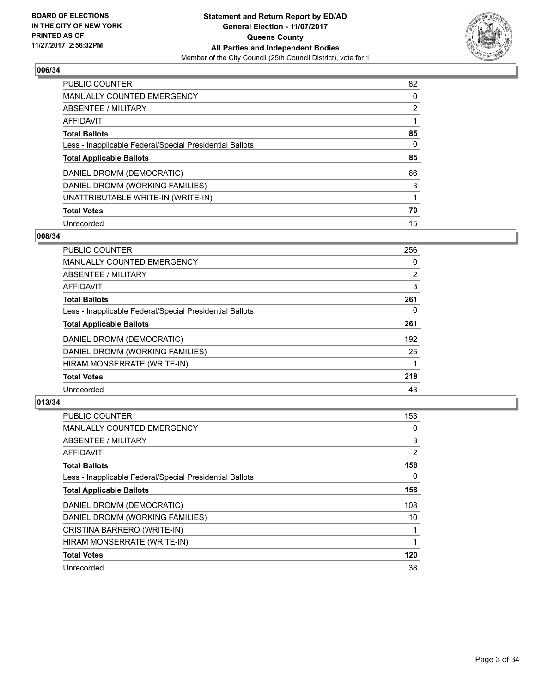

| <b>PUBLIC COUNTER</b>                                    | 82             |
|----------------------------------------------------------|----------------|
| <b>MANUALLY COUNTED EMERGENCY</b>                        | 0              |
| ABSENTEE / MILITARY                                      | $\overline{2}$ |
| AFFIDAVIT                                                |                |
| <b>Total Ballots</b>                                     | 85             |
| Less - Inapplicable Federal/Special Presidential Ballots | 0              |
| <b>Total Applicable Ballots</b>                          | 85             |
| DANIEL DROMM (DEMOCRATIC)                                | 66             |
| DANIEL DROMM (WORKING FAMILIES)                          | 3              |
| UNATTRIBUTABLE WRITE-IN (WRITE-IN)                       |                |
| <b>Total Votes</b>                                       | 70             |
| Unrecorded                                               | 15             |

#### **008/34**

| <b>PUBLIC COUNTER</b>                                    | 256            |
|----------------------------------------------------------|----------------|
| <b>MANUALLY COUNTED EMERGENCY</b>                        | 0              |
| ABSENTEE / MILITARY                                      | $\overline{2}$ |
| <b>AFFIDAVIT</b>                                         | 3              |
| <b>Total Ballots</b>                                     | 261            |
| Less - Inapplicable Federal/Special Presidential Ballots | 0              |
| <b>Total Applicable Ballots</b>                          | 261            |
| DANIEL DROMM (DEMOCRATIC)                                | 192            |
| DANIEL DROMM (WORKING FAMILIES)                          | 25             |
| HIRAM MONSERRATE (WRITE-IN)                              |                |
| <b>Total Votes</b>                                       | 218            |
| Unrecorded                                               | 43             |

| <b>PUBLIC COUNTER</b>                                    | 153 |
|----------------------------------------------------------|-----|
| <b>MANUALLY COUNTED EMERGENCY</b>                        | 0   |
| ABSENTEE / MILITARY                                      | 3   |
| <b>AFFIDAVIT</b>                                         | 2   |
| <b>Total Ballots</b>                                     | 158 |
| Less - Inapplicable Federal/Special Presidential Ballots | 0   |
| <b>Total Applicable Ballots</b>                          | 158 |
| DANIEL DROMM (DEMOCRATIC)                                | 108 |
| DANIEL DROMM (WORKING FAMILIES)                          | 10  |
| CRISTINA BARRERO (WRITE-IN)                              |     |
| HIRAM MONSERRATE (WRITE-IN)                              |     |
| <b>Total Votes</b>                                       | 120 |
| Unrecorded                                               | 38  |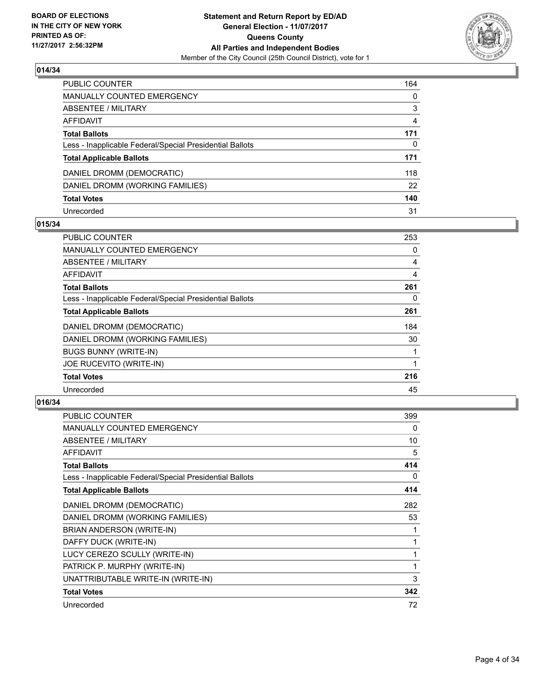

| PUBLIC COUNTER                                           | 164 |
|----------------------------------------------------------|-----|
| <b>MANUALLY COUNTED EMERGENCY</b>                        | 0   |
| <b>ABSENTEE / MILITARY</b>                               | 3   |
| <b>AFFIDAVIT</b>                                         | 4   |
| <b>Total Ballots</b>                                     | 171 |
| Less - Inapplicable Federal/Special Presidential Ballots | 0   |
| <b>Total Applicable Ballots</b>                          | 171 |
| DANIEL DROMM (DEMOCRATIC)                                | 118 |
| DANIEL DROMM (WORKING FAMILIES)                          | 22  |
| <b>Total Votes</b>                                       | 140 |
| Unrecorded                                               | 31  |

### **015/34**

| PUBLIC COUNTER                                           | 253 |
|----------------------------------------------------------|-----|
| <b>MANUALLY COUNTED EMERGENCY</b>                        | 0   |
| ABSENTEE / MILITARY                                      | 4   |
| AFFIDAVIT                                                | 4   |
| <b>Total Ballots</b>                                     | 261 |
| Less - Inapplicable Federal/Special Presidential Ballots | 0   |
| <b>Total Applicable Ballots</b>                          | 261 |
| DANIEL DROMM (DEMOCRATIC)                                | 184 |
| DANIEL DROMM (WORKING FAMILIES)                          | 30  |
| <b>BUGS BUNNY (WRITE-IN)</b>                             |     |
| JOE RUCEVITO (WRITE-IN)                                  |     |
| <b>Total Votes</b>                                       | 216 |
| Unrecorded                                               | 45  |

| <b>PUBLIC COUNTER</b>                                    | 399 |
|----------------------------------------------------------|-----|
| <b>MANUALLY COUNTED EMERGENCY</b>                        | 0   |
| ABSENTEE / MILITARY                                      | 10  |
| <b>AFFIDAVIT</b>                                         | 5   |
| <b>Total Ballots</b>                                     | 414 |
| Less - Inapplicable Federal/Special Presidential Ballots | 0   |
| <b>Total Applicable Ballots</b>                          | 414 |
| DANIEL DROMM (DEMOCRATIC)                                | 282 |
| DANIEL DROMM (WORKING FAMILIES)                          | 53  |
| BRIAN ANDERSON (WRITE-IN)                                | 1   |
| DAFFY DUCK (WRITE-IN)                                    | 1   |
| LUCY CEREZO SCULLY (WRITE-IN)                            | 1   |
| PATRICK P. MURPHY (WRITE-IN)                             | 1   |
| UNATTRIBUTABLE WRITE-IN (WRITE-IN)                       | 3   |
| <b>Total Votes</b>                                       | 342 |
| Unrecorded                                               | 72  |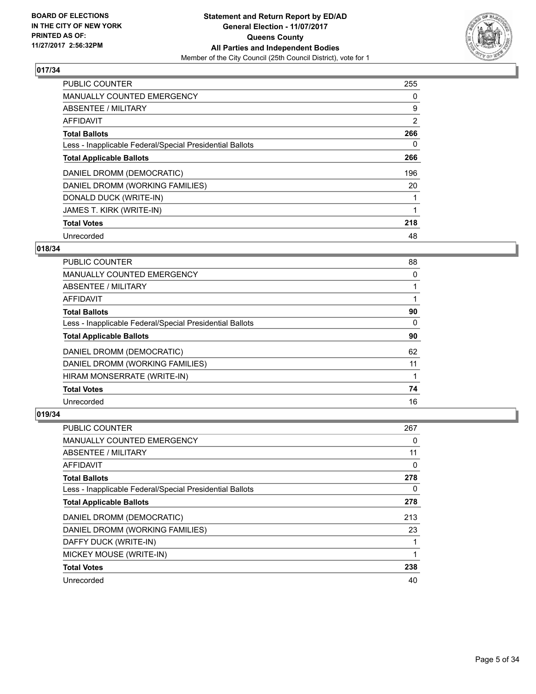

| <b>PUBLIC COUNTER</b>                                    | 255            |
|----------------------------------------------------------|----------------|
| <b>MANUALLY COUNTED EMERGENCY</b>                        | 0              |
| ABSENTEE / MILITARY                                      | 9              |
| <b>AFFIDAVIT</b>                                         | $\overline{2}$ |
| <b>Total Ballots</b>                                     | 266            |
| Less - Inapplicable Federal/Special Presidential Ballots | 0              |
| <b>Total Applicable Ballots</b>                          | 266            |
| DANIEL DROMM (DEMOCRATIC)                                | 196            |
| DANIEL DROMM (WORKING FAMILIES)                          | 20             |
| DONALD DUCK (WRITE-IN)                                   |                |
| JAMES T. KIRK (WRITE-IN)                                 |                |
| <b>Total Votes</b>                                       | 218            |
| Unrecorded                                               | 48             |

# **018/34**

| <b>PUBLIC COUNTER</b>                                    | 88 |
|----------------------------------------------------------|----|
| MANUALLY COUNTED EMERGENCY                               | 0  |
| ABSENTEE / MILITARY                                      |    |
| AFFIDAVIT                                                |    |
| <b>Total Ballots</b>                                     | 90 |
| Less - Inapplicable Federal/Special Presidential Ballots | 0  |
| <b>Total Applicable Ballots</b>                          | 90 |
| DANIEL DROMM (DEMOCRATIC)                                | 62 |
| DANIEL DROMM (WORKING FAMILIES)                          | 11 |
| HIRAM MONSERRATE (WRITE-IN)                              |    |
| <b>Total Votes</b>                                       | 74 |
| Unrecorded                                               | 16 |

| <b>PUBLIC COUNTER</b>                                    | 267 |
|----------------------------------------------------------|-----|
| <b>MANUALLY COUNTED EMERGENCY</b>                        | 0   |
| ABSENTEE / MILITARY                                      | 11  |
| AFFIDAVIT                                                | 0   |
| <b>Total Ballots</b>                                     | 278 |
| Less - Inapplicable Federal/Special Presidential Ballots | 0   |
| <b>Total Applicable Ballots</b>                          | 278 |
| DANIEL DROMM (DEMOCRATIC)                                | 213 |
| DANIEL DROMM (WORKING FAMILIES)                          | 23  |
| DAFFY DUCK (WRITE-IN)                                    | 1   |
| MICKEY MOUSE (WRITE-IN)                                  | 1   |
| <b>Total Votes</b>                                       | 238 |
| Unrecorded                                               | 40  |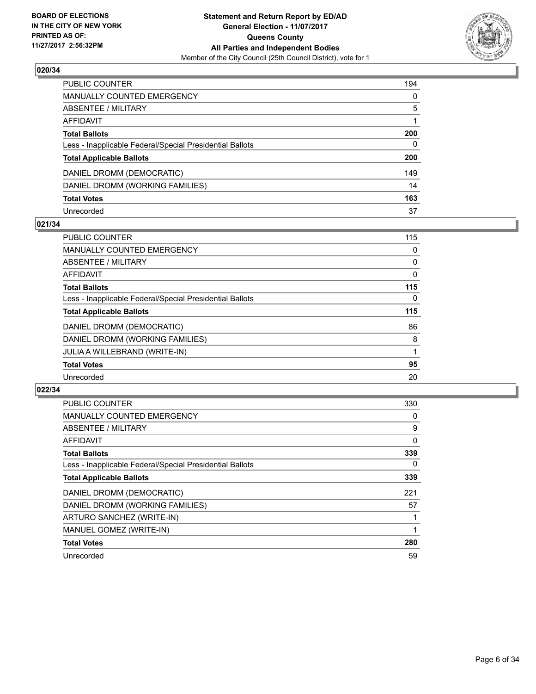

| PUBLIC COUNTER                                           | 194          |
|----------------------------------------------------------|--------------|
| <b>MANUALLY COUNTED EMERGENCY</b>                        | $\mathbf{0}$ |
| <b>ABSENTEE / MILITARY</b>                               | 5            |
| AFFIDAVIT                                                |              |
| <b>Total Ballots</b>                                     | 200          |
| Less - Inapplicable Federal/Special Presidential Ballots | $\mathbf{0}$ |
| <b>Total Applicable Ballots</b>                          | 200          |
| DANIEL DROMM (DEMOCRATIC)                                | 149          |
| DANIEL DROMM (WORKING FAMILIES)                          | 14           |
| <b>Total Votes</b>                                       | 163          |
| Unrecorded                                               | 37           |

#### **021/34**

| <b>PUBLIC COUNTER</b>                                    | 115      |
|----------------------------------------------------------|----------|
| MANUALLY COUNTED EMERGENCY                               | 0        |
| ABSENTEE / MILITARY                                      | 0        |
| <b>AFFIDAVIT</b>                                         | 0        |
| <b>Total Ballots</b>                                     | 115      |
| Less - Inapplicable Federal/Special Presidential Ballots | $\Omega$ |
| <b>Total Applicable Ballots</b>                          | 115      |
| DANIEL DROMM (DEMOCRATIC)                                | 86       |
| DANIEL DROMM (WORKING FAMILIES)                          | 8        |
| JULIA A WILLEBRAND (WRITE-IN)                            |          |
| <b>Total Votes</b>                                       | 95       |
| Unrecorded                                               | 20       |

| <b>PUBLIC COUNTER</b>                                    | 330 |
|----------------------------------------------------------|-----|
| <b>MANUALLY COUNTED EMERGENCY</b>                        | 0   |
| ABSENTEE / MILITARY                                      | 9   |
| <b>AFFIDAVIT</b>                                         | 0   |
| <b>Total Ballots</b>                                     | 339 |
| Less - Inapplicable Federal/Special Presidential Ballots | 0   |
| <b>Total Applicable Ballots</b>                          | 339 |
| DANIEL DROMM (DEMOCRATIC)                                | 221 |
| DANIEL DROMM (WORKING FAMILIES)                          | 57  |
| ARTURO SANCHEZ (WRITE-IN)                                |     |
| MANUEL GOMEZ (WRITE-IN)                                  |     |
| <b>Total Votes</b>                                       | 280 |
| Unrecorded                                               | 59  |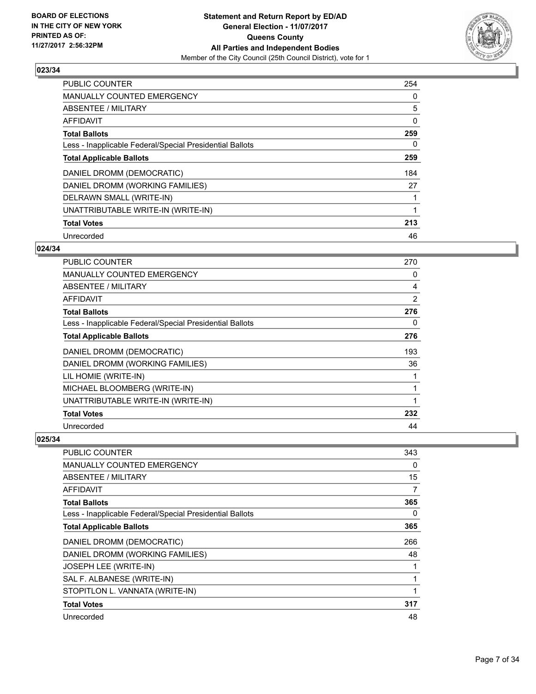

| <b>PUBLIC COUNTER</b>                                    | 254 |
|----------------------------------------------------------|-----|
| <b>MANUALLY COUNTED EMERGENCY</b>                        | 0   |
| ABSENTEE / MILITARY                                      | 5   |
| <b>AFFIDAVIT</b>                                         | 0   |
| <b>Total Ballots</b>                                     | 259 |
| Less - Inapplicable Federal/Special Presidential Ballots | 0   |
| <b>Total Applicable Ballots</b>                          | 259 |
| DANIEL DROMM (DEMOCRATIC)                                | 184 |
| DANIEL DROMM (WORKING FAMILIES)                          | 27  |
| DELRAWN SMALL (WRITE-IN)                                 |     |
| UNATTRIBUTABLE WRITE-IN (WRITE-IN)                       |     |
| <b>Total Votes</b>                                       | 213 |
| Unrecorded                                               | 46  |

# **024/34**

| <b>PUBLIC COUNTER</b>                                    | 270 |
|----------------------------------------------------------|-----|
| <b>MANUALLY COUNTED EMERGENCY</b>                        | 0   |
| ABSENTEE / MILITARY                                      | 4   |
| AFFIDAVIT                                                | 2   |
| <b>Total Ballots</b>                                     | 276 |
| Less - Inapplicable Federal/Special Presidential Ballots | 0   |
| <b>Total Applicable Ballots</b>                          | 276 |
| DANIEL DROMM (DEMOCRATIC)                                | 193 |
| DANIEL DROMM (WORKING FAMILIES)                          | 36  |
| LIL HOMIE (WRITE-IN)                                     |     |
| MICHAEL BLOOMBERG (WRITE-IN)                             | 1   |
| UNATTRIBUTABLE WRITE-IN (WRITE-IN)                       | 1   |
| <b>Total Votes</b>                                       | 232 |
| Unrecorded                                               | 44  |

| <b>PUBLIC COUNTER</b>                                    | 343 |
|----------------------------------------------------------|-----|
| MANUALLY COUNTED EMERGENCY                               | 0   |
| ABSENTEE / MILITARY                                      | 15  |
| <b>AFFIDAVIT</b>                                         | 7   |
| <b>Total Ballots</b>                                     | 365 |
| Less - Inapplicable Federal/Special Presidential Ballots | 0   |
| <b>Total Applicable Ballots</b>                          | 365 |
| DANIEL DROMM (DEMOCRATIC)                                | 266 |
| DANIEL DROMM (WORKING FAMILIES)                          | 48  |
| <b>JOSEPH LEE (WRITE-IN)</b>                             |     |
| SAL F. ALBANESE (WRITE-IN)                               |     |
| STOPITLON L. VANNATA (WRITE-IN)                          |     |
| <b>Total Votes</b>                                       | 317 |
| Unrecorded                                               | 48  |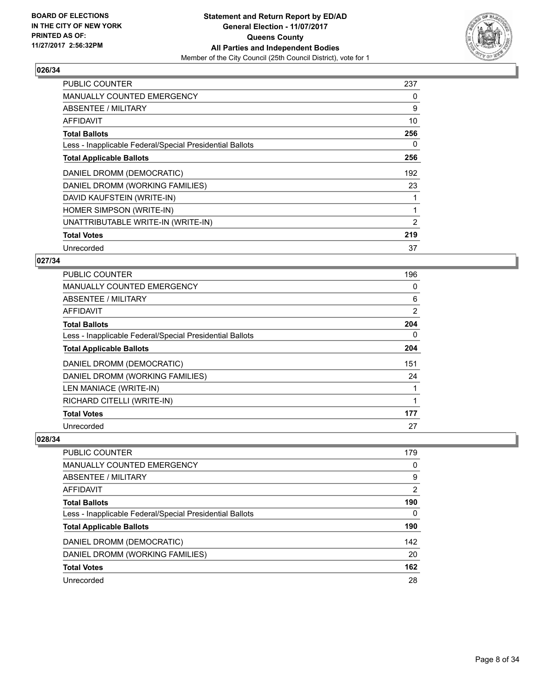

| <b>PUBLIC COUNTER</b>                                    | 237 |
|----------------------------------------------------------|-----|
| <b>MANUALLY COUNTED EMERGENCY</b>                        | 0   |
| <b>ABSENTEE / MILITARY</b>                               | 9   |
| <b>AFFIDAVIT</b>                                         | 10  |
| <b>Total Ballots</b>                                     | 256 |
| Less - Inapplicable Federal/Special Presidential Ballots | 0   |
| <b>Total Applicable Ballots</b>                          | 256 |
| DANIEL DROMM (DEMOCRATIC)                                | 192 |
| DANIEL DROMM (WORKING FAMILIES)                          | 23  |
| DAVID KAUFSTEIN (WRITE-IN)                               |     |
| HOMER SIMPSON (WRITE-IN)                                 |     |
| UNATTRIBUTABLE WRITE-IN (WRITE-IN)                       | 2   |
| <b>Total Votes</b>                                       | 219 |
| Unrecorded                                               | 37  |

# **027/34**

| PUBLIC COUNTER                                           | 196 |
|----------------------------------------------------------|-----|
| <b>MANUALLY COUNTED EMERGENCY</b>                        | 0   |
| ABSENTEE / MILITARY                                      | 6   |
| AFFIDAVIT                                                | 2   |
| <b>Total Ballots</b>                                     | 204 |
| Less - Inapplicable Federal/Special Presidential Ballots | 0   |
| <b>Total Applicable Ballots</b>                          | 204 |
| DANIEL DROMM (DEMOCRATIC)                                | 151 |
| DANIEL DROMM (WORKING FAMILIES)                          | 24  |
| LEN MANIACE (WRITE-IN)                                   |     |
| RICHARD CITELLI (WRITE-IN)                               | 1   |
| <b>Total Votes</b>                                       | 177 |
| Unrecorded                                               | 27  |

| <b>PUBLIC COUNTER</b>                                    | 179      |
|----------------------------------------------------------|----------|
| MANUALLY COUNTED EMERGENCY                               | $\Omega$ |
| ABSENTEE / MILITARY                                      | 9        |
| AFFIDAVIT                                                | 2        |
| <b>Total Ballots</b>                                     | 190      |
| Less - Inapplicable Federal/Special Presidential Ballots | 0        |
| <b>Total Applicable Ballots</b>                          | 190      |
| DANIEL DROMM (DEMOCRATIC)                                | 142      |
| DANIEL DROMM (WORKING FAMILIES)                          | 20       |
| <b>Total Votes</b>                                       | 162      |
| Unrecorded                                               | 28       |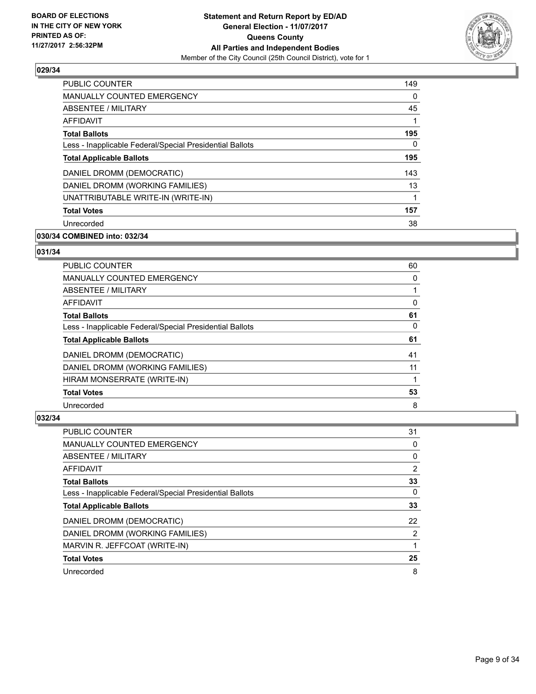

| <b>PUBLIC COUNTER</b>                                    | 149 |
|----------------------------------------------------------|-----|
| <b>MANUALLY COUNTED EMERGENCY</b>                        | 0   |
| ABSENTEE / MILITARY                                      | 45  |
| <b>AFFIDAVIT</b>                                         |     |
| <b>Total Ballots</b>                                     | 195 |
| Less - Inapplicable Federal/Special Presidential Ballots | 0   |
| <b>Total Applicable Ballots</b>                          | 195 |
| DANIEL DROMM (DEMOCRATIC)                                | 143 |
| DANIEL DROMM (WORKING FAMILIES)                          | 13  |
| UNATTRIBUTABLE WRITE-IN (WRITE-IN)                       | 1   |
| <b>Total Votes</b>                                       | 157 |
| Unrecorded                                               | 38  |

# **030/34 COMBINED into: 032/34**

# **031/34**

| <b>PUBLIC COUNTER</b>                                    | 60 |
|----------------------------------------------------------|----|
| <b>MANUALLY COUNTED EMERGENCY</b>                        | 0  |
| ABSENTEE / MILITARY                                      |    |
| AFFIDAVIT                                                | 0  |
| <b>Total Ballots</b>                                     | 61 |
| Less - Inapplicable Federal/Special Presidential Ballots | 0  |
| <b>Total Applicable Ballots</b>                          | 61 |
| DANIEL DROMM (DEMOCRATIC)                                | 41 |
| DANIEL DROMM (WORKING FAMILIES)                          | 11 |
| HIRAM MONSERRATE (WRITE-IN)                              |    |
| <b>Total Votes</b>                                       | 53 |
| Unrecorded                                               | 8  |

| <b>PUBLIC COUNTER</b>                                    | 31             |
|----------------------------------------------------------|----------------|
| <b>MANUALLY COUNTED EMERGENCY</b>                        | 0              |
| ABSENTEE / MILITARY                                      | 0              |
| AFFIDAVIT                                                | $\overline{2}$ |
| <b>Total Ballots</b>                                     | 33             |
| Less - Inapplicable Federal/Special Presidential Ballots | 0              |
| <b>Total Applicable Ballots</b>                          | 33             |
| DANIEL DROMM (DEMOCRATIC)                                | 22             |
| DANIEL DROMM (WORKING FAMILIES)                          | $\overline{2}$ |
| MARVIN R. JEFFCOAT (WRITE-IN)                            |                |
| <b>Total Votes</b>                                       | 25             |
| Unrecorded                                               | 8              |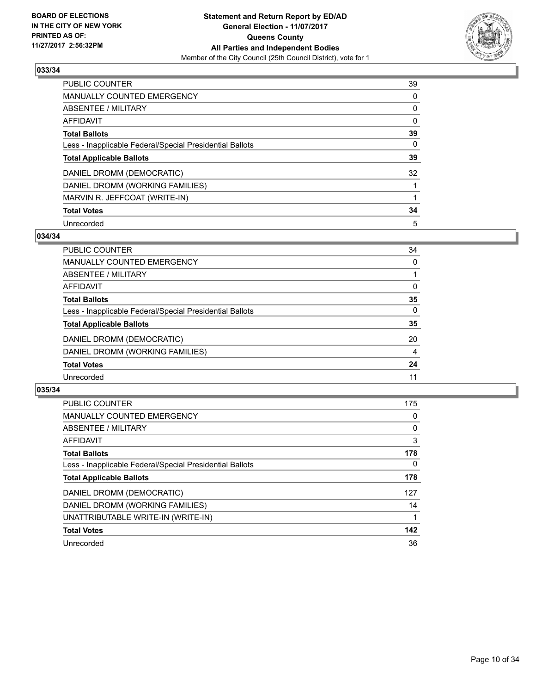

| <b>PUBLIC COUNTER</b>                                    | 39 |
|----------------------------------------------------------|----|
| <b>MANUALLY COUNTED EMERGENCY</b>                        | 0  |
| ABSENTEE / MILITARY                                      | 0  |
| <b>AFFIDAVIT</b>                                         | 0  |
| <b>Total Ballots</b>                                     | 39 |
| Less - Inapplicable Federal/Special Presidential Ballots | 0  |
| <b>Total Applicable Ballots</b>                          | 39 |
| DANIEL DROMM (DEMOCRATIC)                                | 32 |
| DANIEL DROMM (WORKING FAMILIES)                          |    |
| MARVIN R. JEFFCOAT (WRITE-IN)                            |    |
| <b>Total Votes</b>                                       | 34 |
| Unrecorded                                               | 5  |

#### **034/34**

| PUBLIC COUNTER                                           | 34 |
|----------------------------------------------------------|----|
| <b>MANUALLY COUNTED EMERGENCY</b>                        | 0  |
| ABSENTEE / MILITARY                                      |    |
| AFFIDAVIT                                                | 0  |
| <b>Total Ballots</b>                                     | 35 |
| Less - Inapplicable Federal/Special Presidential Ballots | 0  |
| <b>Total Applicable Ballots</b>                          | 35 |
| DANIEL DROMM (DEMOCRATIC)                                | 20 |
| DANIEL DROMM (WORKING FAMILIES)                          | 4  |
| <b>Total Votes</b>                                       | 24 |
| Unrecorded                                               | 11 |

| <b>PUBLIC COUNTER</b>                                    | 175      |
|----------------------------------------------------------|----------|
| MANUALLY COUNTED EMERGENCY                               | 0        |
| ABSENTEE / MILITARY                                      | 0        |
| AFFIDAVIT                                                | 3        |
| <b>Total Ballots</b>                                     | 178      |
| Less - Inapplicable Federal/Special Presidential Ballots | $\Omega$ |
| <b>Total Applicable Ballots</b>                          | 178      |
| DANIEL DROMM (DEMOCRATIC)                                | 127      |
| DANIEL DROMM (WORKING FAMILIES)                          | 14       |
| UNATTRIBUTABLE WRITE-IN (WRITE-IN)                       |          |
| <b>Total Votes</b>                                       | 142      |
| Unrecorded                                               | 36       |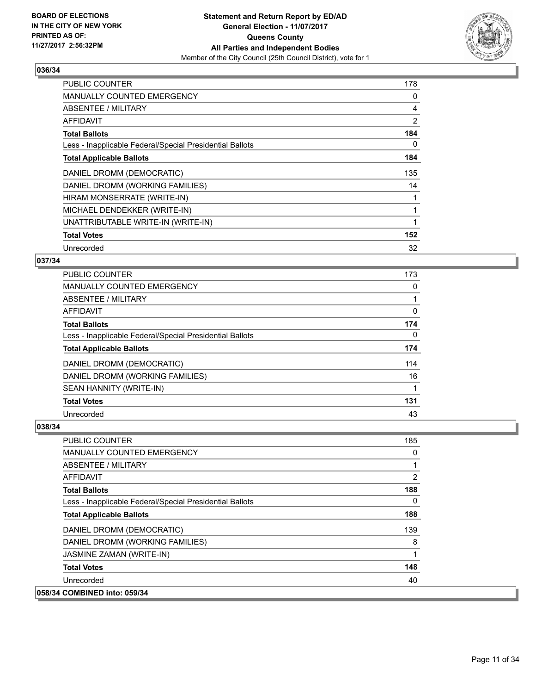

| <b>PUBLIC COUNTER</b>                                    | 178 |
|----------------------------------------------------------|-----|
| <b>MANUALLY COUNTED EMERGENCY</b>                        | 0   |
| ABSENTEE / MILITARY                                      | 4   |
| AFFIDAVIT                                                | 2   |
| <b>Total Ballots</b>                                     | 184 |
| Less - Inapplicable Federal/Special Presidential Ballots | 0   |
| <b>Total Applicable Ballots</b>                          | 184 |
| DANIEL DROMM (DEMOCRATIC)                                | 135 |
| DANIEL DROMM (WORKING FAMILIES)                          | 14  |
| HIRAM MONSERRATE (WRITE-IN)                              |     |
| MICHAEL DENDEKKER (WRITE-IN)                             |     |
| UNATTRIBUTABLE WRITE-IN (WRITE-IN)                       |     |
| <b>Total Votes</b>                                       | 152 |
| Unrecorded                                               | 32  |

# **037/34**

| PUBLIC COUNTER                                           | 173      |
|----------------------------------------------------------|----------|
| MANUALLY COUNTED EMERGENCY                               | 0        |
| ABSENTEE / MILITARY                                      |          |
| AFFIDAVIT                                                | 0        |
| <b>Total Ballots</b>                                     | 174      |
| Less - Inapplicable Federal/Special Presidential Ballots | $\Omega$ |
| <b>Total Applicable Ballots</b>                          | 174      |
| DANIEL DROMM (DEMOCRATIC)                                | 114      |
| DANIEL DROMM (WORKING FAMILIES)                          | 16       |
| SEAN HANNITY (WRITE-IN)                                  |          |
| <b>Total Votes</b>                                       | 131      |
| Unrecorded                                               | 43       |

| <b>PUBLIC COUNTER</b>                                    | 185 |
|----------------------------------------------------------|-----|
| <b>MANUALLY COUNTED EMERGENCY</b>                        | 0   |
| ABSENTEE / MILITARY                                      |     |
| AFFIDAVIT                                                | 2   |
| <b>Total Ballots</b>                                     | 188 |
| Less - Inapplicable Federal/Special Presidential Ballots | 0   |
| <b>Total Applicable Ballots</b>                          | 188 |
| DANIEL DROMM (DEMOCRATIC)                                | 139 |
| DANIEL DROMM (WORKING FAMILIES)                          | 8   |
| JASMINE ZAMAN (WRITE-IN)                                 | 1   |
| <b>Total Votes</b>                                       | 148 |
| Unrecorded                                               | 40  |
| 058/34 COMBINED into: 059/34                             |     |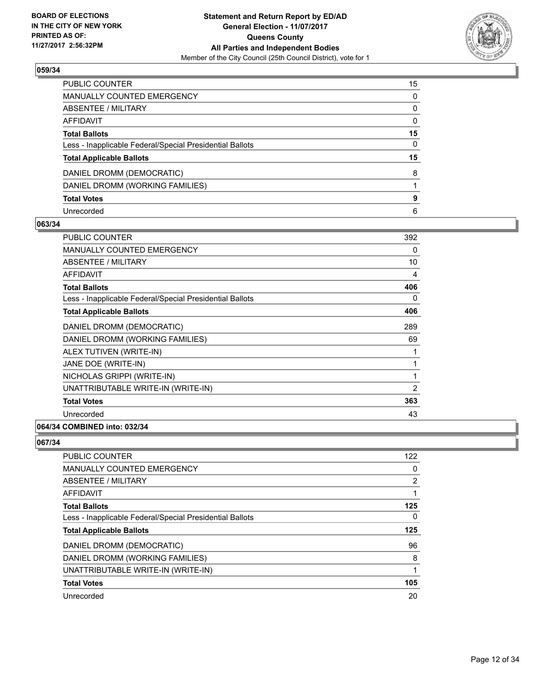

| PUBLIC COUNTER                                           | 15 |
|----------------------------------------------------------|----|
| <b>MANUALLY COUNTED EMERGENCY</b>                        | 0  |
| <b>ABSENTEE / MILITARY</b>                               | 0  |
| <b>AFFIDAVIT</b>                                         | 0  |
| <b>Total Ballots</b>                                     | 15 |
| Less - Inapplicable Federal/Special Presidential Ballots | 0  |
| <b>Total Applicable Ballots</b>                          | 15 |
| DANIEL DROMM (DEMOCRATIC)                                | 8  |
| DANIEL DROMM (WORKING FAMILIES)                          |    |
| <b>Total Votes</b>                                       | 9  |
| Unrecorded                                               | 6  |

### **063/34**

| <b>PUBLIC COUNTER</b>                                    | 392 |
|----------------------------------------------------------|-----|
| <b>MANUALLY COUNTED EMERGENCY</b>                        | 0   |
| <b>ABSENTEE / MILITARY</b>                               | 10  |
| <b>AFFIDAVIT</b>                                         | 4   |
| <b>Total Ballots</b>                                     | 406 |
| Less - Inapplicable Federal/Special Presidential Ballots | 0   |
| <b>Total Applicable Ballots</b>                          | 406 |
| DANIEL DROMM (DEMOCRATIC)                                | 289 |
| DANIEL DROMM (WORKING FAMILIES)                          | 69  |
| ALEX TUTIVEN (WRITE-IN)                                  |     |
| JANE DOE (WRITE-IN)                                      | 1   |
| NICHOLAS GRIPPI (WRITE-IN)                               | 1   |
| UNATTRIBUTABLE WRITE-IN (WRITE-IN)                       | 2   |
| <b>Total Votes</b>                                       | 363 |
| Unrecorded                                               | 43  |
|                                                          |     |

# **064/34 COMBINED into: 032/34**

| <b>PUBLIC COUNTER</b>                                    | 122            |
|----------------------------------------------------------|----------------|
| <b>MANUALLY COUNTED EMERGENCY</b>                        | 0              |
| <b>ABSENTEE / MILITARY</b>                               | $\overline{2}$ |
| AFFIDAVIT                                                |                |
| <b>Total Ballots</b>                                     | 125            |
| Less - Inapplicable Federal/Special Presidential Ballots | 0              |
| <b>Total Applicable Ballots</b>                          | 125            |
|                                                          |                |
| DANIEL DROMM (DEMOCRATIC)                                | 96             |
| DANIEL DROMM (WORKING FAMILIES)                          | 8              |
| UNATTRIBUTABLE WRITE-IN (WRITE-IN)                       |                |
| <b>Total Votes</b>                                       | 105            |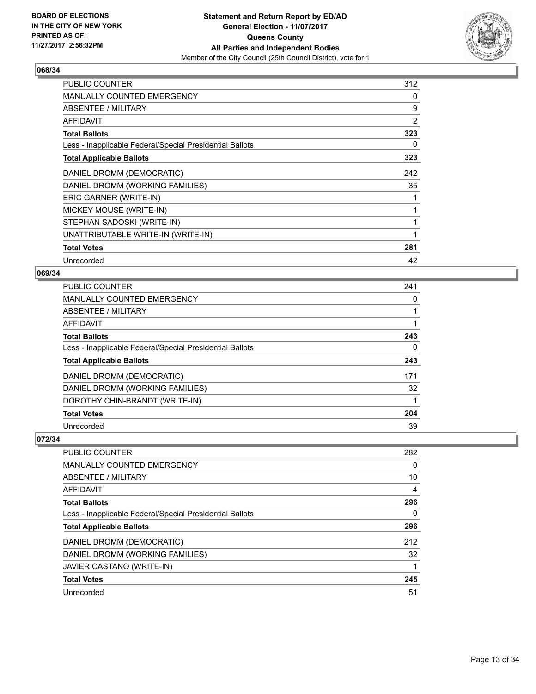

| <b>PUBLIC COUNTER</b>                                    | 312          |
|----------------------------------------------------------|--------------|
| <b>MANUALLY COUNTED EMERGENCY</b>                        | 0            |
| ABSENTEE / MILITARY                                      | 9            |
| AFFIDAVIT                                                | 2            |
| <b>Total Ballots</b>                                     | 323          |
| Less - Inapplicable Federal/Special Presidential Ballots | 0            |
| <b>Total Applicable Ballots</b>                          | 323          |
| DANIEL DROMM (DEMOCRATIC)                                | 242          |
| DANIEL DROMM (WORKING FAMILIES)                          | 35           |
| ERIC GARNER (WRITE-IN)                                   |              |
| MICKEY MOUSE (WRITE-IN)                                  |              |
| STEPHAN SADOSKI (WRITE-IN)                               |              |
| UNATTRIBUTABLE WRITE-IN (WRITE-IN)                       | $\mathbf{1}$ |
| <b>Total Votes</b>                                       | 281          |
| Unrecorded                                               | 42           |

## **069/34**

| PUBLIC COUNTER                                           | 241 |
|----------------------------------------------------------|-----|
| <b>MANUALLY COUNTED EMERGENCY</b>                        | 0   |
| <b>ABSENTEE / MILITARY</b>                               |     |
| <b>AFFIDAVIT</b>                                         |     |
| <b>Total Ballots</b>                                     | 243 |
| Less - Inapplicable Federal/Special Presidential Ballots | 0   |
| <b>Total Applicable Ballots</b>                          | 243 |
| DANIEL DROMM (DEMOCRATIC)                                | 171 |
| DANIEL DROMM (WORKING FAMILIES)                          | 32  |
| DOROTHY CHIN-BRANDT (WRITE-IN)                           |     |
| <b>Total Votes</b>                                       | 204 |
| Unrecorded                                               | 39  |

| PUBLIC COUNTER                                           | 282 |
|----------------------------------------------------------|-----|
| <b>MANUALLY COUNTED EMERGENCY</b>                        | 0   |
| ABSENTEE / MILITARY                                      | 10  |
| AFFIDAVIT                                                | 4   |
| <b>Total Ballots</b>                                     | 296 |
| Less - Inapplicable Federal/Special Presidential Ballots | 0   |
| <b>Total Applicable Ballots</b>                          | 296 |
| DANIEL DROMM (DEMOCRATIC)                                | 212 |
| DANIEL DROMM (WORKING FAMILIES)                          | 32  |
| JAVIER CASTANO (WRITE-IN)                                |     |
| <b>Total Votes</b>                                       | 245 |
| Unrecorded                                               | 51  |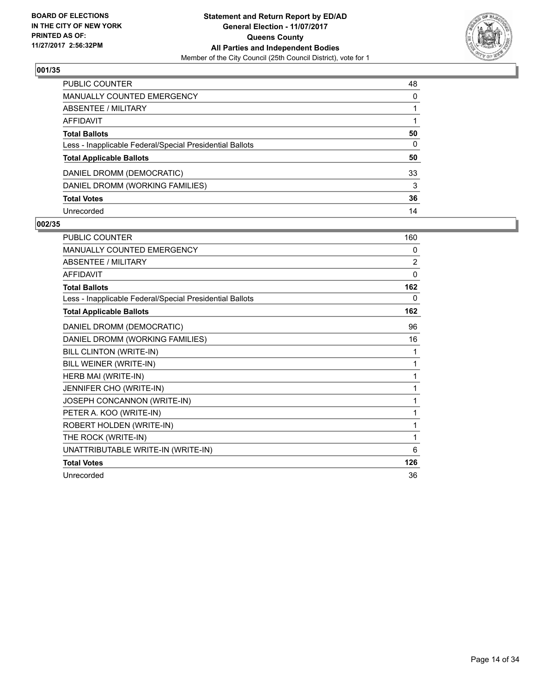

| PUBLIC COUNTER                                           | 48 |
|----------------------------------------------------------|----|
| MANUALLY COUNTED EMERGENCY                               | 0  |
| <b>ABSENTEE / MILITARY</b>                               |    |
| <b>AFFIDAVIT</b>                                         |    |
| <b>Total Ballots</b>                                     | 50 |
| Less - Inapplicable Federal/Special Presidential Ballots | 0  |
| <b>Total Applicable Ballots</b>                          | 50 |
| DANIEL DROMM (DEMOCRATIC)                                | 33 |
| DANIEL DROMM (WORKING FAMILIES)                          | 3  |
| <b>Total Votes</b>                                       | 36 |
| Unrecorded                                               | 14 |

| <b>PUBLIC COUNTER</b>                                    | 160            |
|----------------------------------------------------------|----------------|
| MANUALLY COUNTED EMERGENCY                               | 0              |
| <b>ABSENTEE / MILITARY</b>                               | $\overline{2}$ |
| <b>AFFIDAVIT</b>                                         | $\mathbf{0}$   |
| <b>Total Ballots</b>                                     | 162            |
| Less - Inapplicable Federal/Special Presidential Ballots | 0              |
| <b>Total Applicable Ballots</b>                          | 162            |
| DANIEL DROMM (DEMOCRATIC)                                | 96             |
| DANIEL DROMM (WORKING FAMILIES)                          | 16             |
| <b>BILL CLINTON (WRITE-IN)</b>                           | 1              |
| BILL WEINER (WRITE-IN)                                   | 1              |
| HERB MAI (WRITE-IN)                                      | 1              |
| JENNIFER CHO (WRITE-IN)                                  | 1              |
| JOSEPH CONCANNON (WRITE-IN)                              | 1              |
| PETER A. KOO (WRITE-IN)                                  | 1              |
| ROBERT HOLDEN (WRITE-IN)                                 | 1              |
| THE ROCK (WRITE-IN)                                      | 1              |
| UNATTRIBUTABLE WRITE-IN (WRITE-IN)                       | 6              |
| <b>Total Votes</b>                                       | 126            |
| Unrecorded                                               | 36             |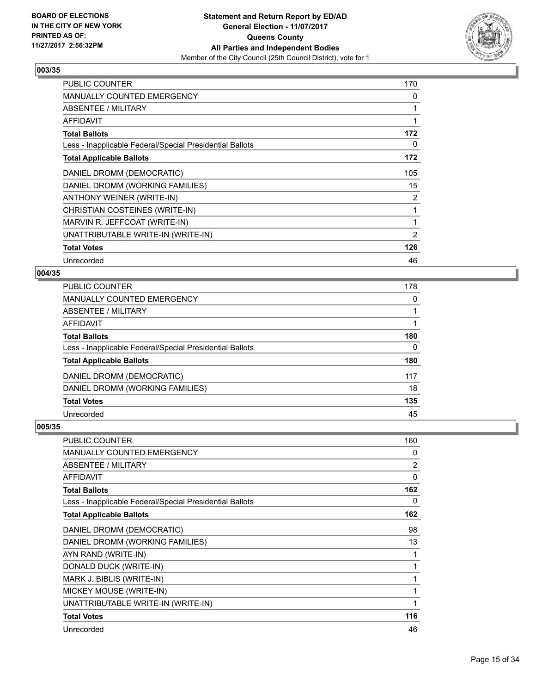

| <b>PUBLIC COUNTER</b>                                    | 170 |
|----------------------------------------------------------|-----|
| <b>MANUALLY COUNTED EMERGENCY</b>                        | 0   |
| ABSENTEE / MILITARY                                      | 1   |
| <b>AFFIDAVIT</b>                                         |     |
| <b>Total Ballots</b>                                     | 172 |
| Less - Inapplicable Federal/Special Presidential Ballots | 0   |
| <b>Total Applicable Ballots</b>                          | 172 |
| DANIEL DROMM (DEMOCRATIC)                                | 105 |
| DANIEL DROMM (WORKING FAMILIES)                          | 15  |
| ANTHONY WEINER (WRITE-IN)                                | 2   |
| CHRISTIAN COSTEINES (WRITE-IN)                           |     |
| MARVIN R. JEFFCOAT (WRITE-IN)                            | 1   |
| UNATTRIBUTABLE WRITE-IN (WRITE-IN)                       | 2   |
| <b>Total Votes</b>                                       | 126 |
| Unrecorded                                               | 46  |

## **004/35**

| 178      |
|----------|
| 0        |
|          |
| 1        |
| 180      |
| $\Omega$ |
| 180      |
| 117      |
| 18       |
| 135      |
| 45       |
|          |

| <b>PUBLIC COUNTER</b>                                    | 160            |
|----------------------------------------------------------|----------------|
| <b>MANUALLY COUNTED EMERGENCY</b>                        | 0              |
| ABSENTEE / MILITARY                                      | $\overline{2}$ |
| <b>AFFIDAVIT</b>                                         | $\Omega$       |
| <b>Total Ballots</b>                                     | 162            |
| Less - Inapplicable Federal/Special Presidential Ballots | 0              |
| <b>Total Applicable Ballots</b>                          | 162            |
| DANIEL DROMM (DEMOCRATIC)                                | 98             |
| DANIEL DROMM (WORKING FAMILIES)                          | 13             |
| AYN RAND (WRITE-IN)                                      | 1              |
| DONALD DUCK (WRITE-IN)                                   | 1              |
| MARK J. BIBLIS (WRITE-IN)                                | 1              |
| MICKEY MOUSE (WRITE-IN)                                  |                |
| UNATTRIBUTABLE WRITE-IN (WRITE-IN)                       | 1              |
| <b>Total Votes</b>                                       | 116            |
| Unrecorded                                               | 46             |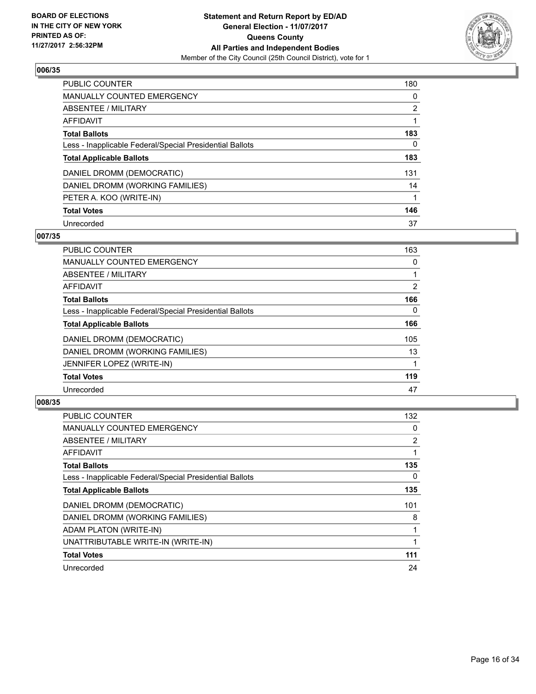

| <b>PUBLIC COUNTER</b>                                    | 180            |
|----------------------------------------------------------|----------------|
| MANUALLY COUNTED EMERGENCY                               | 0              |
| ABSENTEE / MILITARY                                      | $\overline{2}$ |
| AFFIDAVIT                                                |                |
| <b>Total Ballots</b>                                     | 183            |
| Less - Inapplicable Federal/Special Presidential Ballots | 0              |
| <b>Total Applicable Ballots</b>                          | 183            |
| DANIEL DROMM (DEMOCRATIC)                                | 131            |
| DANIEL DROMM (WORKING FAMILIES)                          | 14             |
| PETER A. KOO (WRITE-IN)                                  |                |
| <b>Total Votes</b>                                       | 146            |
| Unrecorded                                               | 37             |

#### **007/35**

| <b>PUBLIC COUNTER</b>                                    | 163      |
|----------------------------------------------------------|----------|
| <b>MANUALLY COUNTED EMERGENCY</b>                        | 0        |
| ABSENTEE / MILITARY                                      |          |
| <b>AFFIDAVIT</b>                                         | 2        |
| <b>Total Ballots</b>                                     | 166      |
| Less - Inapplicable Federal/Special Presidential Ballots | $\Omega$ |
| <b>Total Applicable Ballots</b>                          | 166      |
| DANIEL DROMM (DEMOCRATIC)                                | 105      |
| DANIEL DROMM (WORKING FAMILIES)                          | 13       |
| JENNIFER LOPEZ (WRITE-IN)                                |          |
| <b>Total Votes</b>                                       | 119      |
| Unrecorded                                               | 47       |

| <b>PUBLIC COUNTER</b>                                    | 132 |
|----------------------------------------------------------|-----|
| <b>MANUALLY COUNTED EMERGENCY</b>                        | 0   |
| ABSENTEE / MILITARY                                      | 2   |
| AFFIDAVIT                                                | 1   |
| <b>Total Ballots</b>                                     | 135 |
| Less - Inapplicable Federal/Special Presidential Ballots | 0   |
| <b>Total Applicable Ballots</b>                          | 135 |
| DANIEL DROMM (DEMOCRATIC)                                | 101 |
| DANIEL DROMM (WORKING FAMILIES)                          | 8   |
| ADAM PLATON (WRITE-IN)                                   | 1   |
| UNATTRIBUTABLE WRITE-IN (WRITE-IN)                       |     |
| <b>Total Votes</b>                                       | 111 |
| Unrecorded                                               | 24  |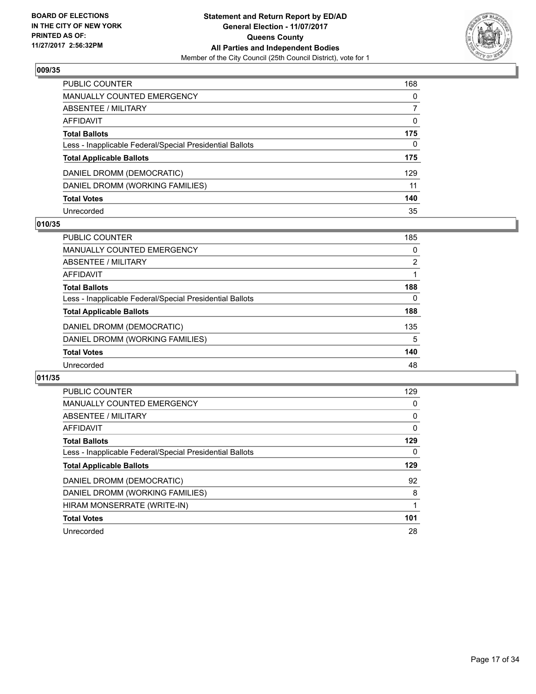

| PUBLIC COUNTER                                           | 168 |
|----------------------------------------------------------|-----|
| <b>MANUALLY COUNTED EMERGENCY</b>                        | 0   |
| <b>ABSENTEE / MILITARY</b>                               | 7   |
| <b>AFFIDAVIT</b>                                         | 0   |
| <b>Total Ballots</b>                                     | 175 |
| Less - Inapplicable Federal/Special Presidential Ballots | 0   |
| <b>Total Applicable Ballots</b>                          | 175 |
| DANIEL DROMM (DEMOCRATIC)                                | 129 |
| DANIEL DROMM (WORKING FAMILIES)                          | 11  |
| <b>Total Votes</b>                                       | 140 |
| Unrecorded                                               | 35  |

#### **010/35**

| <b>PUBLIC COUNTER</b>                                    | 185 |
|----------------------------------------------------------|-----|
| <b>MANUALLY COUNTED EMERGENCY</b>                        | 0   |
| ABSENTEE / MILITARY                                      | 2   |
| AFFIDAVIT                                                |     |
| <b>Total Ballots</b>                                     | 188 |
| Less - Inapplicable Federal/Special Presidential Ballots | 0   |
| <b>Total Applicable Ballots</b>                          | 188 |
| DANIEL DROMM (DEMOCRATIC)                                | 135 |
| DANIEL DROMM (WORKING FAMILIES)                          | 5   |
| <b>Total Votes</b>                                       | 140 |
| Unrecorded                                               | 48  |

| <b>PUBLIC COUNTER</b>                                    | 129 |
|----------------------------------------------------------|-----|
| <b>MANUALLY COUNTED EMERGENCY</b>                        | 0   |
| ABSENTEE / MILITARY                                      | 0   |
| AFFIDAVIT                                                | 0   |
| <b>Total Ballots</b>                                     | 129 |
| Less - Inapplicable Federal/Special Presidential Ballots | 0   |
| <b>Total Applicable Ballots</b>                          | 129 |
| DANIEL DROMM (DEMOCRATIC)                                | 92  |
| DANIEL DROMM (WORKING FAMILIES)                          | 8   |
| HIRAM MONSERRATE (WRITE-IN)                              |     |
| <b>Total Votes</b>                                       | 101 |
| Unrecorded                                               | 28  |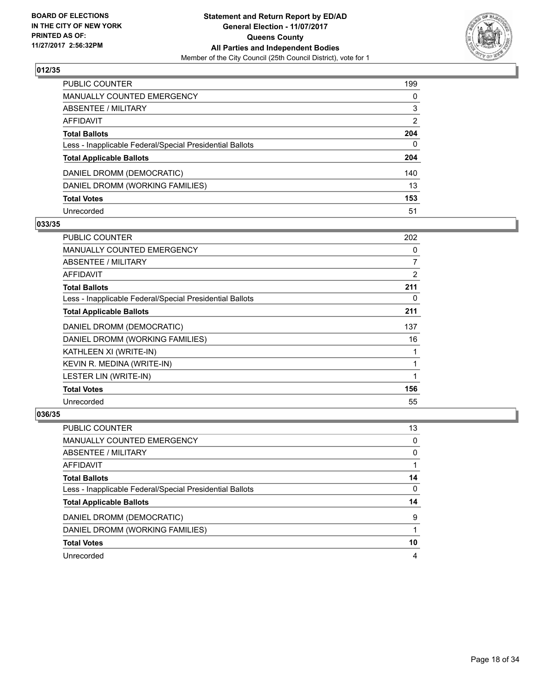

| <b>PUBLIC COUNTER</b>                                    | 199          |
|----------------------------------------------------------|--------------|
| MANUALLY COUNTED EMERGENCY                               | 0            |
| <b>ABSENTEE / MILITARY</b>                               | 3            |
| <b>AFFIDAVIT</b>                                         | 2            |
| <b>Total Ballots</b>                                     | 204          |
| Less - Inapplicable Federal/Special Presidential Ballots | $\mathbf{0}$ |
| <b>Total Applicable Ballots</b>                          | 204          |
| DANIEL DROMM (DEMOCRATIC)                                | 140          |
| DANIEL DROMM (WORKING FAMILIES)                          | 13           |
| <b>Total Votes</b>                                       | 153          |
| Unrecorded                                               | 51           |

#### **033/35**

| <b>PUBLIC COUNTER</b>                                    | 202            |
|----------------------------------------------------------|----------------|
| <b>MANUALLY COUNTED EMERGENCY</b>                        | 0              |
| ABSENTEE / MILITARY                                      | $\overline{7}$ |
| <b>AFFIDAVIT</b>                                         | 2              |
| <b>Total Ballots</b>                                     | 211            |
| Less - Inapplicable Federal/Special Presidential Ballots | 0              |
| <b>Total Applicable Ballots</b>                          | 211            |
| DANIEL DROMM (DEMOCRATIC)                                | 137            |
| DANIEL DROMM (WORKING FAMILIES)                          | 16             |
| KATHLEEN XI (WRITE-IN)                                   |                |
| KEVIN R. MEDINA (WRITE-IN)                               | 1              |
| <b>LESTER LIN (WRITE-IN)</b>                             |                |
| <b>Total Votes</b>                                       | 156            |
| Unrecorded                                               | 55             |

| PUBLIC COUNTER                                           | 13       |
|----------------------------------------------------------|----------|
| MANUALLY COUNTED EMERGENCY                               | 0        |
| ABSENTEE / MILITARY                                      | 0        |
| AFFIDAVIT                                                |          |
| <b>Total Ballots</b>                                     | 14       |
| Less - Inapplicable Federal/Special Presidential Ballots | $\Omega$ |
| <b>Total Applicable Ballots</b>                          | 14       |
| DANIEL DROMM (DEMOCRATIC)                                | 9        |
| DANIEL DROMM (WORKING FAMILIES)                          |          |
| <b>Total Votes</b>                                       | 10       |
| Unrecorded                                               | 4        |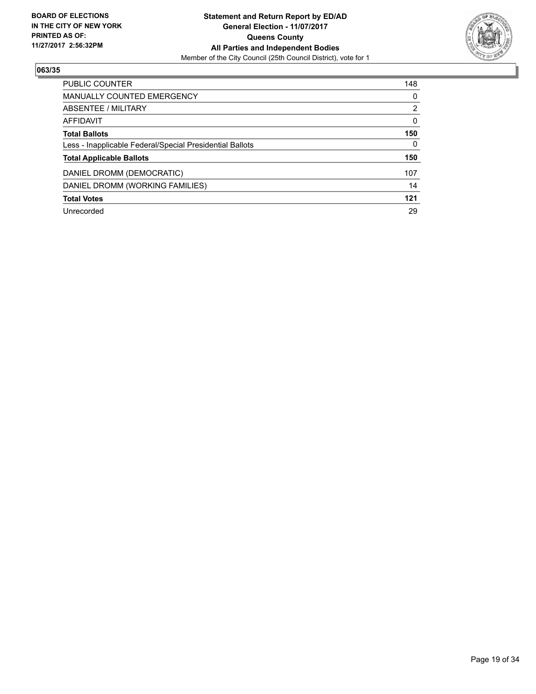

| <b>PUBLIC COUNTER</b>                                    | 148      |
|----------------------------------------------------------|----------|
| <b>MANUALLY COUNTED EMERGENCY</b>                        | 0        |
| ABSENTEE / MILITARY                                      | 2        |
| AFFIDAVIT                                                | $\Omega$ |
| <b>Total Ballots</b>                                     | 150      |
| Less - Inapplicable Federal/Special Presidential Ballots | 0        |
| <b>Total Applicable Ballots</b>                          | 150      |
| DANIEL DROMM (DEMOCRATIC)                                | 107      |
| DANIEL DROMM (WORKING FAMILIES)                          | 14       |
| <b>Total Votes</b>                                       | 121      |
| Unrecorded                                               | 29       |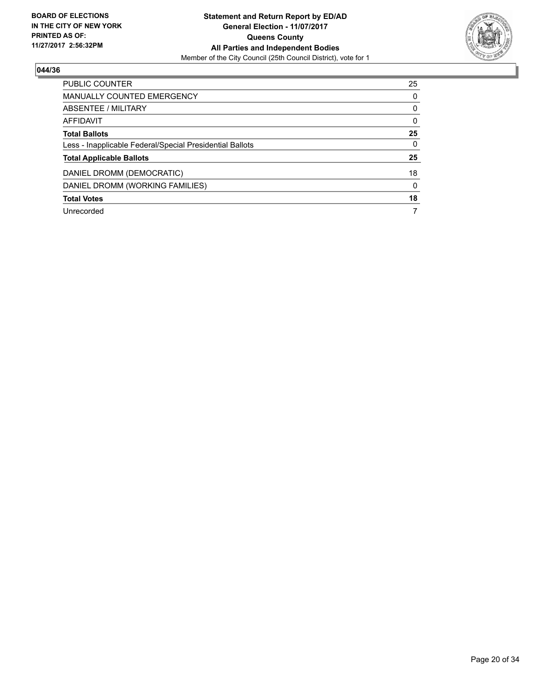

| <b>PUBLIC COUNTER</b>                                    | 25 |
|----------------------------------------------------------|----|
| <b>MANUALLY COUNTED EMERGENCY</b>                        | 0  |
| ABSENTEE / MILITARY                                      | 0  |
| AFFIDAVIT                                                | 0  |
| <b>Total Ballots</b>                                     | 25 |
| Less - Inapplicable Federal/Special Presidential Ballots | 0  |
| <b>Total Applicable Ballots</b>                          | 25 |
| DANIEL DROMM (DEMOCRATIC)                                | 18 |
| DANIEL DROMM (WORKING FAMILIES)                          | 0  |
| <b>Total Votes</b>                                       | 18 |
| Unrecorded                                               | 7  |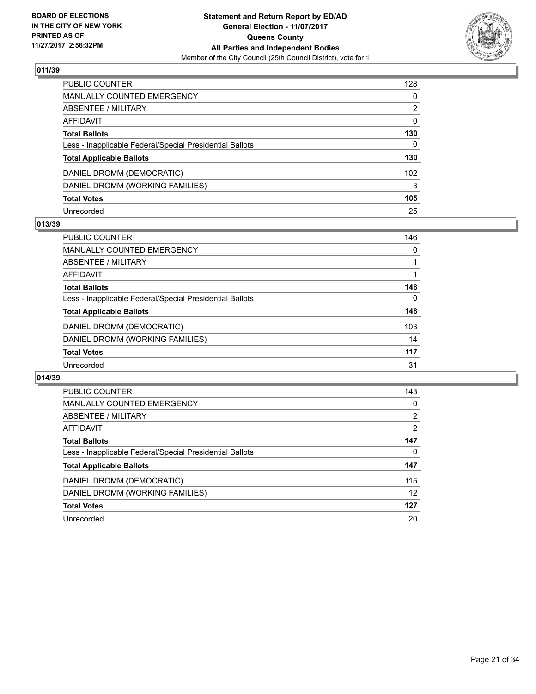

| PUBLIC COUNTER                                           | 128          |
|----------------------------------------------------------|--------------|
| MANUALLY COUNTED EMERGENCY                               | 0            |
| <b>ABSENTEE / MILITARY</b>                               | 2            |
| <b>AFFIDAVIT</b>                                         | 0            |
| <b>Total Ballots</b>                                     | 130          |
| Less - Inapplicable Federal/Special Presidential Ballots | $\mathbf{0}$ |
| <b>Total Applicable Ballots</b>                          | 130          |
| DANIEL DROMM (DEMOCRATIC)                                | 102          |
| DANIEL DROMM (WORKING FAMILIES)                          | 3            |
| <b>Total Votes</b>                                       | 105          |
| Unrecorded                                               | 25           |

### **013/39**

| <b>PUBLIC COUNTER</b>                                    | 146 |
|----------------------------------------------------------|-----|
| MANUALLY COUNTED EMERGENCY                               | 0   |
| ABSENTEE / MILITARY                                      |     |
| AFFIDAVIT                                                |     |
| <b>Total Ballots</b>                                     | 148 |
| Less - Inapplicable Federal/Special Presidential Ballots | 0   |
| <b>Total Applicable Ballots</b>                          | 148 |
| DANIEL DROMM (DEMOCRATIC)                                | 103 |
| DANIEL DROMM (WORKING FAMILIES)                          | 14  |
| <b>Total Votes</b>                                       | 117 |
| Unrecorded                                               | 31  |

| <b>PUBLIC COUNTER</b>                                    | 143            |
|----------------------------------------------------------|----------------|
| <b>MANUALLY COUNTED EMERGENCY</b>                        | 0              |
| ABSENTEE / MILITARY                                      | $\overline{2}$ |
| <b>AFFIDAVIT</b>                                         | 2              |
| <b>Total Ballots</b>                                     | 147            |
| Less - Inapplicable Federal/Special Presidential Ballots | 0              |
| <b>Total Applicable Ballots</b>                          | 147            |
| DANIEL DROMM (DEMOCRATIC)                                | 115            |
| DANIEL DROMM (WORKING FAMILIES)                          | 12             |
| <b>Total Votes</b>                                       | 127            |
| Unrecorded                                               | 20             |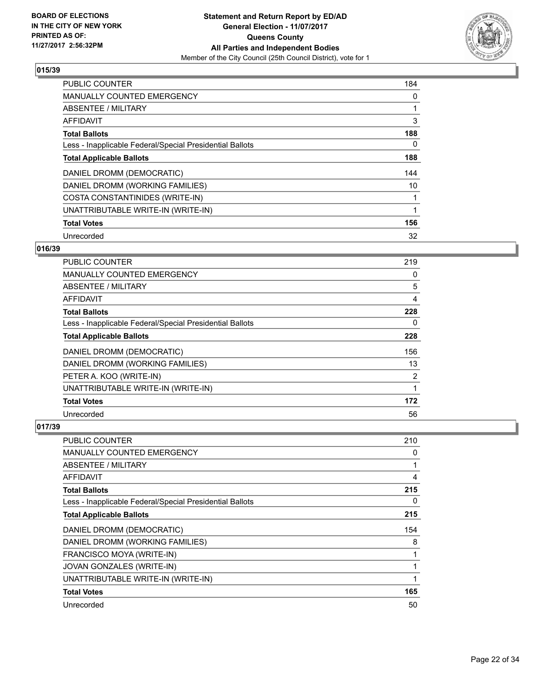

| <b>PUBLIC COUNTER</b>                                    | 184 |
|----------------------------------------------------------|-----|
| <b>MANUALLY COUNTED EMERGENCY</b>                        | 0   |
| ABSENTEE / MILITARY                                      |     |
| <b>AFFIDAVIT</b>                                         | 3   |
| <b>Total Ballots</b>                                     | 188 |
| Less - Inapplicable Federal/Special Presidential Ballots | 0   |
| <b>Total Applicable Ballots</b>                          | 188 |
| DANIEL DROMM (DEMOCRATIC)                                | 144 |
| DANIEL DROMM (WORKING FAMILIES)                          | 10  |
| COSTA CONSTANTINIDES (WRITE-IN)                          |     |
| UNATTRIBUTABLE WRITE-IN (WRITE-IN)                       |     |
| <b>Total Votes</b>                                       | 156 |
| Unrecorded                                               | 32  |

# **016/39**

| <b>PUBLIC COUNTER</b>                                    | 219            |
|----------------------------------------------------------|----------------|
| <b>MANUALLY COUNTED EMERGENCY</b>                        | 0              |
| ABSENTEE / MILITARY                                      | 5              |
| <b>AFFIDAVIT</b>                                         | 4              |
| <b>Total Ballots</b>                                     | 228            |
| Less - Inapplicable Federal/Special Presidential Ballots | 0              |
| <b>Total Applicable Ballots</b>                          | 228            |
| DANIEL DROMM (DEMOCRATIC)                                | 156            |
| DANIEL DROMM (WORKING FAMILIES)                          | 13             |
| PETER A. KOO (WRITE-IN)                                  | $\overline{2}$ |
| UNATTRIBUTABLE WRITE-IN (WRITE-IN)                       |                |
| <b>Total Votes</b>                                       | 172            |
| Unrecorded                                               | 56             |

| PUBLIC COUNTER                                           | 210 |
|----------------------------------------------------------|-----|
| MANUALLY COUNTED EMERGENCY                               | 0   |
| ABSENTEE / MILITARY                                      |     |
| AFFIDAVIT                                                | 4   |
| <b>Total Ballots</b>                                     | 215 |
| Less - Inapplicable Federal/Special Presidential Ballots | 0   |
| <b>Total Applicable Ballots</b>                          | 215 |
| DANIEL DROMM (DEMOCRATIC)                                | 154 |
| DANIEL DROMM (WORKING FAMILIES)                          | 8   |
| FRANCISCO MOYA (WRITE-IN)                                |     |
| <b>JOVAN GONZALES (WRITE-IN)</b>                         |     |
| UNATTRIBUTABLE WRITE-IN (WRITE-IN)                       |     |
| <b>Total Votes</b>                                       | 165 |
| Unrecorded                                               | 50  |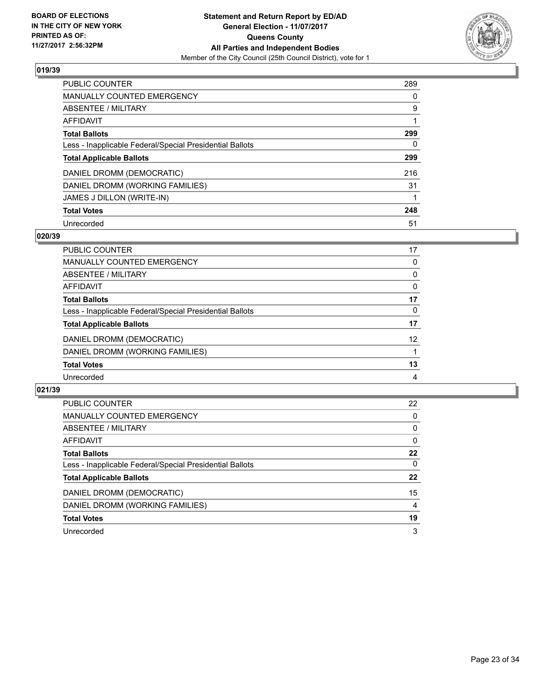

| <b>PUBLIC COUNTER</b>                                    | 289 |
|----------------------------------------------------------|-----|
| <b>MANUALLY COUNTED EMERGENCY</b>                        | 0   |
| ABSENTEE / MILITARY                                      | 9   |
| AFFIDAVIT                                                |     |
| <b>Total Ballots</b>                                     | 299 |
| Less - Inapplicable Federal/Special Presidential Ballots | 0   |
| <b>Total Applicable Ballots</b>                          | 299 |
| DANIEL DROMM (DEMOCRATIC)                                | 216 |
| DANIEL DROMM (WORKING FAMILIES)                          | 31  |
| JAMES J DILLON (WRITE-IN)                                |     |
| <b>Total Votes</b>                                       | 248 |
| Unrecorded                                               | 51  |

#### **020/39**

| <b>PUBLIC COUNTER</b>                                    | 17 |
|----------------------------------------------------------|----|
| MANUALLY COUNTED EMERGENCY                               | 0  |
| ABSENTEE / MILITARY                                      | 0  |
| AFFIDAVIT                                                | 0  |
| <b>Total Ballots</b>                                     | 17 |
| Less - Inapplicable Federal/Special Presidential Ballots | 0  |
| <b>Total Applicable Ballots</b>                          | 17 |
| DANIEL DROMM (DEMOCRATIC)                                | 12 |
| DANIEL DROMM (WORKING FAMILIES)                          |    |
| <b>Total Votes</b>                                       | 13 |
| Unrecorded                                               | 4  |

| <b>PUBLIC COUNTER</b>                                    | 22 |
|----------------------------------------------------------|----|
| <b>MANUALLY COUNTED EMERGENCY</b>                        | 0  |
| ABSENTEE / MILITARY                                      | 0  |
| AFFIDAVIT                                                | 0  |
| <b>Total Ballots</b>                                     | 22 |
| Less - Inapplicable Federal/Special Presidential Ballots | 0  |
| <b>Total Applicable Ballots</b>                          | 22 |
| DANIEL DROMM (DEMOCRATIC)                                | 15 |
| DANIEL DROMM (WORKING FAMILIES)                          | 4  |
| <b>Total Votes</b>                                       | 19 |
| Unrecorded                                               | 3  |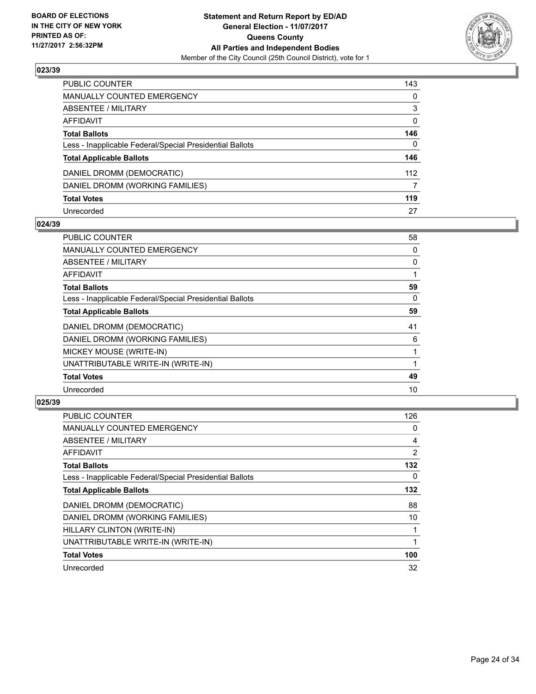

| PUBLIC COUNTER                                           | 143          |
|----------------------------------------------------------|--------------|
| <b>MANUALLY COUNTED EMERGENCY</b>                        | 0            |
| <b>ABSENTEE / MILITARY</b>                               | 3            |
| AFFIDAVIT                                                | 0            |
| <b>Total Ballots</b>                                     | 146          |
| Less - Inapplicable Federal/Special Presidential Ballots | $\mathbf{0}$ |
| <b>Total Applicable Ballots</b>                          | 146          |
| DANIEL DROMM (DEMOCRATIC)                                | 112          |
| DANIEL DROMM (WORKING FAMILIES)                          | 7            |
| <b>Total Votes</b>                                       | 119          |
| Unrecorded                                               | 27           |

### **024/39**

| <b>PUBLIC COUNTER</b>                                    | 58 |
|----------------------------------------------------------|----|
| <b>MANUALLY COUNTED EMERGENCY</b>                        | 0  |
| ABSENTEE / MILITARY                                      | 0  |
| AFFIDAVIT                                                |    |
| <b>Total Ballots</b>                                     | 59 |
| Less - Inapplicable Federal/Special Presidential Ballots | 0  |
| <b>Total Applicable Ballots</b>                          | 59 |
| DANIEL DROMM (DEMOCRATIC)                                | 41 |
| DANIEL DROMM (WORKING FAMILIES)                          | 6  |
| MICKEY MOUSE (WRITE-IN)                                  |    |
| UNATTRIBUTABLE WRITE-IN (WRITE-IN)                       |    |
| <b>Total Votes</b>                                       | 49 |
| Unrecorded                                               | 10 |

| <b>PUBLIC COUNTER</b>                                    | 126 |
|----------------------------------------------------------|-----|
| MANUALLY COUNTED EMERGENCY                               | 0   |
| ABSENTEE / MILITARY                                      | 4   |
| AFFIDAVIT                                                | 2   |
| <b>Total Ballots</b>                                     | 132 |
| Less - Inapplicable Federal/Special Presidential Ballots | 0   |
| <b>Total Applicable Ballots</b>                          | 132 |
| DANIEL DROMM (DEMOCRATIC)                                | 88  |
| DANIEL DROMM (WORKING FAMILIES)                          | 10  |
| HILLARY CLINTON (WRITE-IN)                               | 1   |
| UNATTRIBUTABLE WRITE-IN (WRITE-IN)                       |     |
| <b>Total Votes</b>                                       | 100 |
| Unrecorded                                               | 32  |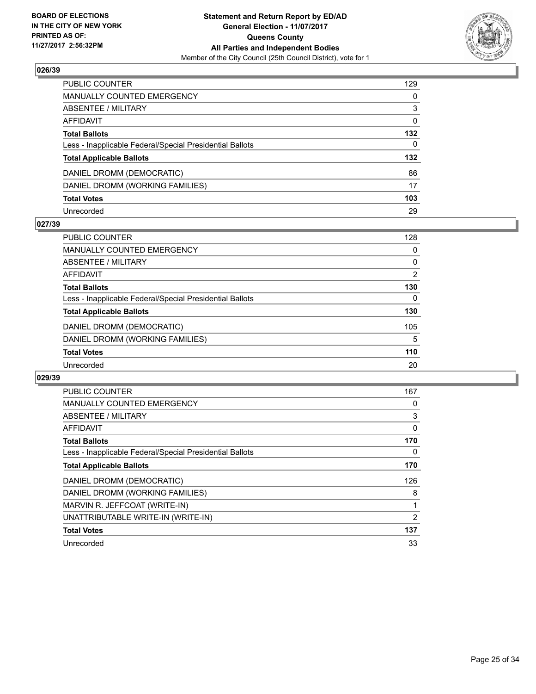

| PUBLIC COUNTER                                           | 129 |
|----------------------------------------------------------|-----|
| <b>MANUALLY COUNTED EMERGENCY</b>                        | 0   |
| ABSENTEE / MILITARY                                      | 3   |
| AFFIDAVIT                                                | 0   |
| <b>Total Ballots</b>                                     | 132 |
| Less - Inapplicable Federal/Special Presidential Ballots | 0   |
| <b>Total Applicable Ballots</b>                          | 132 |
| DANIEL DROMM (DEMOCRATIC)                                | 86  |
| DANIEL DROMM (WORKING FAMILIES)                          | 17  |
| <b>Total Votes</b>                                       | 103 |
| Unrecorded                                               | 29  |

#### **027/39**

| <b>PUBLIC COUNTER</b>                                    | 128 |
|----------------------------------------------------------|-----|
| MANUALLY COUNTED EMERGENCY                               | 0   |
| ABSENTEE / MILITARY                                      | 0   |
| AFFIDAVIT                                                | 2   |
| <b>Total Ballots</b>                                     | 130 |
| Less - Inapplicable Federal/Special Presidential Ballots | 0   |
| <b>Total Applicable Ballots</b>                          | 130 |
| DANIEL DROMM (DEMOCRATIC)                                | 105 |
| DANIEL DROMM (WORKING FAMILIES)                          | 5   |
| <b>Total Votes</b>                                       | 110 |
| Unrecorded                                               | 20  |

| <b>PUBLIC COUNTER</b>                                    | 167 |
|----------------------------------------------------------|-----|
| <b>MANUALLY COUNTED EMERGENCY</b>                        | 0   |
| ABSENTEE / MILITARY                                      | 3   |
| AFFIDAVIT                                                | 0   |
| <b>Total Ballots</b>                                     | 170 |
| Less - Inapplicable Federal/Special Presidential Ballots | 0   |
| <b>Total Applicable Ballots</b>                          | 170 |
| DANIEL DROMM (DEMOCRATIC)                                | 126 |
| DANIEL DROMM (WORKING FAMILIES)                          | 8   |
| MARVIN R. JEFFCOAT (WRITE-IN)                            | 1   |
| UNATTRIBUTABLE WRITE-IN (WRITE-IN)                       | 2   |
| <b>Total Votes</b>                                       | 137 |
| Unrecorded                                               | 33  |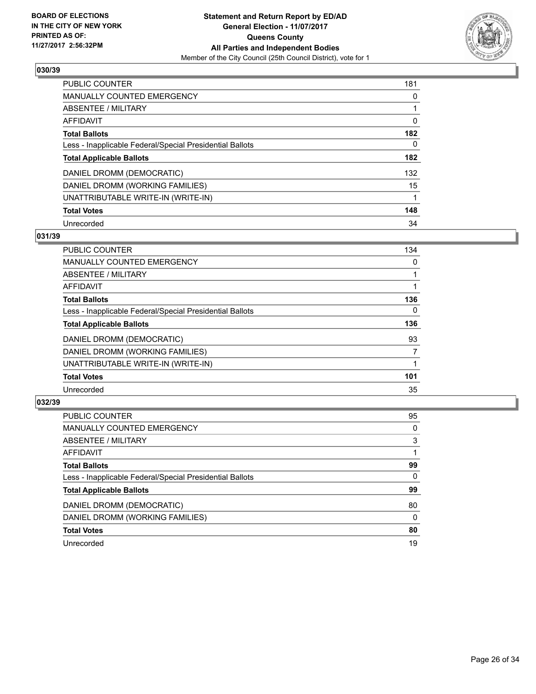

| <b>PUBLIC COUNTER</b>                                    | 181 |
|----------------------------------------------------------|-----|
| <b>MANUALLY COUNTED EMERGENCY</b>                        | 0   |
| ABSENTEE / MILITARY                                      |     |
| AFFIDAVIT                                                | 0   |
| <b>Total Ballots</b>                                     | 182 |
| Less - Inapplicable Federal/Special Presidential Ballots | 0   |
| <b>Total Applicable Ballots</b>                          | 182 |
| DANIEL DROMM (DEMOCRATIC)                                | 132 |
| DANIEL DROMM (WORKING FAMILIES)                          | 15  |
| UNATTRIBUTABLE WRITE-IN (WRITE-IN)                       | 1   |
| <b>Total Votes</b>                                       | 148 |
| Unrecorded                                               | 34  |

#### **031/39**

| <b>PUBLIC COUNTER</b>                                    | 134      |
|----------------------------------------------------------|----------|
| <b>MANUALLY COUNTED EMERGENCY</b>                        | 0        |
| ABSENTEE / MILITARY                                      |          |
| <b>AFFIDAVIT</b>                                         |          |
| <b>Total Ballots</b>                                     | 136      |
| Less - Inapplicable Federal/Special Presidential Ballots | $\Omega$ |
| <b>Total Applicable Ballots</b>                          | 136      |
| DANIEL DROMM (DEMOCRATIC)                                | 93       |
| DANIEL DROMM (WORKING FAMILIES)                          | 7        |
| UNATTRIBUTABLE WRITE-IN (WRITE-IN)                       |          |
| <b>Total Votes</b>                                       | 101      |
| Unrecorded                                               | 35       |

| <b>PUBLIC COUNTER</b>                                    | 95       |
|----------------------------------------------------------|----------|
| <b>MANUALLY COUNTED EMERGENCY</b>                        | 0        |
| ABSENTEE / MILITARY                                      | 3        |
| AFFIDAVIT                                                |          |
| <b>Total Ballots</b>                                     | 99       |
| Less - Inapplicable Federal/Special Presidential Ballots | 0        |
| <b>Total Applicable Ballots</b>                          | 99       |
| DANIEL DROMM (DEMOCRATIC)                                | 80       |
| DANIEL DROMM (WORKING FAMILIES)                          | $\Omega$ |
| <b>Total Votes</b>                                       | 80       |
| Unrecorded                                               | 19       |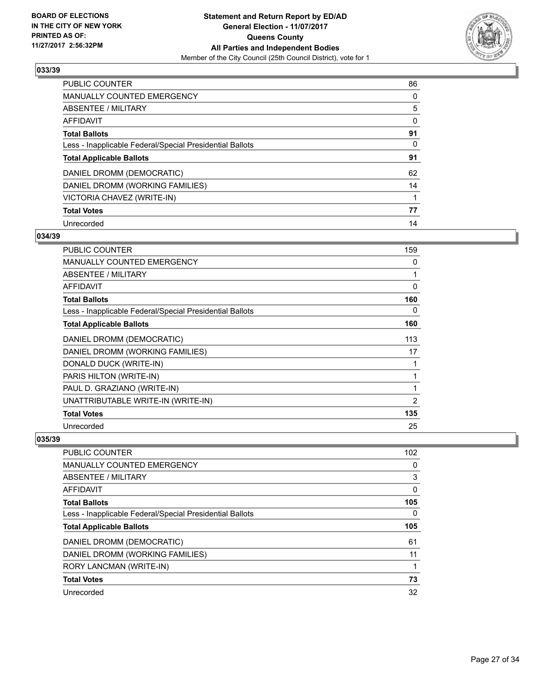

| <b>PUBLIC COUNTER</b>                                    | 86 |
|----------------------------------------------------------|----|
| <b>MANUALLY COUNTED EMERGENCY</b>                        | 0  |
| ABSENTEE / MILITARY                                      | 5  |
| <b>AFFIDAVIT</b>                                         | 0  |
| <b>Total Ballots</b>                                     | 91 |
| Less - Inapplicable Federal/Special Presidential Ballots | 0  |
| <b>Total Applicable Ballots</b>                          | 91 |
| DANIEL DROMM (DEMOCRATIC)                                | 62 |
| DANIEL DROMM (WORKING FAMILIES)                          | 14 |
| VICTORIA CHAVEZ (WRITE-IN)                               |    |
| <b>Total Votes</b>                                       | 77 |
| Unrecorded                                               | 14 |

#### **034/39**

| <b>PUBLIC COUNTER</b>                                    | 159            |
|----------------------------------------------------------|----------------|
| <b>MANUALLY COUNTED EMERGENCY</b>                        | 0              |
| ABSENTEE / MILITARY                                      |                |
| <b>AFFIDAVIT</b>                                         | 0              |
| <b>Total Ballots</b>                                     | 160            |
| Less - Inapplicable Federal/Special Presidential Ballots | 0              |
| <b>Total Applicable Ballots</b>                          | 160            |
| DANIEL DROMM (DEMOCRATIC)                                | 113            |
| DANIEL DROMM (WORKING FAMILIES)                          | 17             |
| DONALD DUCK (WRITE-IN)                                   |                |
| PARIS HILTON (WRITE-IN)                                  | 1              |
| PAUL D. GRAZIANO (WRITE-IN)                              | 1              |
| UNATTRIBUTABLE WRITE-IN (WRITE-IN)                       | $\overline{2}$ |
| <b>Total Votes</b>                                       | 135            |
| Unrecorded                                               | 25             |

| <b>PUBLIC COUNTER</b>                                    | 102 |
|----------------------------------------------------------|-----|
| <b>MANUALLY COUNTED EMERGENCY</b>                        | 0   |
| ABSENTEE / MILITARY                                      | 3   |
| AFFIDAVIT                                                | 0   |
| <b>Total Ballots</b>                                     | 105 |
| Less - Inapplicable Federal/Special Presidential Ballots | 0   |
| <b>Total Applicable Ballots</b>                          | 105 |
| DANIEL DROMM (DEMOCRATIC)                                | 61  |
| DANIEL DROMM (WORKING FAMILIES)                          | 11  |
| RORY LANCMAN (WRITE-IN)                                  |     |
| <b>Total Votes</b>                                       | 73  |
| Unrecorded                                               | 32  |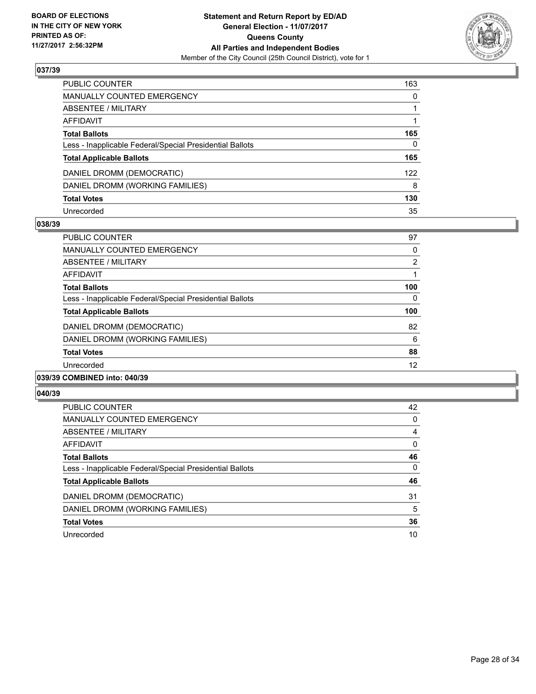

| <b>PUBLIC COUNTER</b>                                    | 163 |
|----------------------------------------------------------|-----|
| <b>MANUALLY COUNTED EMERGENCY</b>                        | 0   |
| <b>ABSENTEE / MILITARY</b>                               |     |
| <b>AFFIDAVIT</b>                                         |     |
| <b>Total Ballots</b>                                     | 165 |
| Less - Inapplicable Federal/Special Presidential Ballots | 0   |
| <b>Total Applicable Ballots</b>                          | 165 |
| DANIEL DROMM (DEMOCRATIC)                                | 122 |
| DANIEL DROMM (WORKING FAMILIES)                          | 8   |
| <b>Total Votes</b>                                       | 130 |
| Unrecorded                                               | 35  |

#### **038/39**

| PUBLIC COUNTER                                           | 97             |
|----------------------------------------------------------|----------------|
| <b>MANUALLY COUNTED EMERGENCY</b>                        | 0              |
| ABSENTEE / MILITARY                                      | $\overline{2}$ |
| <b>AFFIDAVIT</b>                                         |                |
| <b>Total Ballots</b>                                     | 100            |
| Less - Inapplicable Federal/Special Presidential Ballots | 0              |
| <b>Total Applicable Ballots</b>                          | 100            |
| DANIEL DROMM (DEMOCRATIC)                                | 82             |
| DANIEL DROMM (WORKING FAMILIES)                          | 6              |
| <b>Total Votes</b>                                       | 88             |
| Unrecorded                                               | 12             |
|                                                          |                |

#### **039/39 COMBINED into: 040/39**

| <b>PUBLIC COUNTER</b>                                    | 42 |
|----------------------------------------------------------|----|
| <b>MANUALLY COUNTED EMERGENCY</b>                        | 0  |
| ABSENTEE / MILITARY                                      | 4  |
| AFFIDAVIT                                                | 0  |
| <b>Total Ballots</b>                                     | 46 |
| Less - Inapplicable Federal/Special Presidential Ballots | 0  |
| <b>Total Applicable Ballots</b>                          | 46 |
| DANIEL DROMM (DEMOCRATIC)                                | 31 |
| DANIEL DROMM (WORKING FAMILIES)                          | 5  |
| <b>Total Votes</b>                                       | 36 |
| Unrecorded                                               | 10 |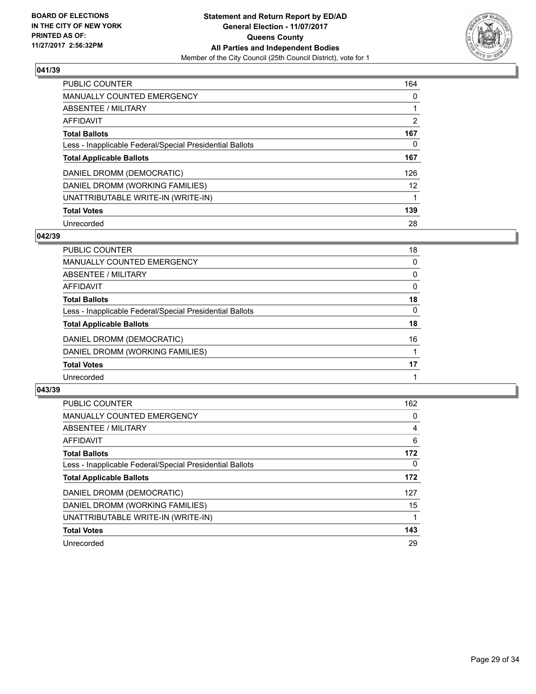

| <b>PUBLIC COUNTER</b>                                    | 164               |
|----------------------------------------------------------|-------------------|
| MANUALLY COUNTED EMERGENCY                               | 0                 |
| ABSENTEE / MILITARY                                      |                   |
| <b>AFFIDAVIT</b>                                         | 2                 |
| <b>Total Ballots</b>                                     | 167               |
| Less - Inapplicable Federal/Special Presidential Ballots | 0                 |
| <b>Total Applicable Ballots</b>                          | 167               |
| DANIEL DROMM (DEMOCRATIC)                                | 126               |
| DANIEL DROMM (WORKING FAMILIES)                          | $12 \overline{ }$ |
| UNATTRIBUTABLE WRITE-IN (WRITE-IN)                       |                   |
| <b>Total Votes</b>                                       | 139               |
| Unrecorded                                               | 28                |

#### **042/39**

| <b>PUBLIC COUNTER</b>                                    | 18           |
|----------------------------------------------------------|--------------|
| MANUALLY COUNTED EMERGENCY                               | 0            |
| ABSENTEE / MILITARY                                      | 0            |
| AFFIDAVIT                                                | 0            |
| <b>Total Ballots</b>                                     | 18           |
| Less - Inapplicable Federal/Special Presidential Ballots | $\mathbf{0}$ |
| <b>Total Applicable Ballots</b>                          | 18           |
| DANIEL DROMM (DEMOCRATIC)                                | 16           |
| DANIEL DROMM (WORKING FAMILIES)                          |              |
| <b>Total Votes</b>                                       | 17           |
| Unrecorded                                               |              |

| <b>PUBLIC COUNTER</b>                                    | 162      |
|----------------------------------------------------------|----------|
| MANUALLY COUNTED EMERGENCY                               | 0        |
| ABSENTEE / MILITARY                                      | 4        |
| <b>AFFIDAVIT</b>                                         | 6        |
| <b>Total Ballots</b>                                     | 172      |
| Less - Inapplicable Federal/Special Presidential Ballots | $\Omega$ |
| <b>Total Applicable Ballots</b>                          | 172      |
| DANIEL DROMM (DEMOCRATIC)                                | 127      |
| DANIEL DROMM (WORKING FAMILIES)                          | 15       |
| UNATTRIBUTABLE WRITE-IN (WRITE-IN)                       |          |
| <b>Total Votes</b>                                       | 143      |
| Unrecorded                                               | 29       |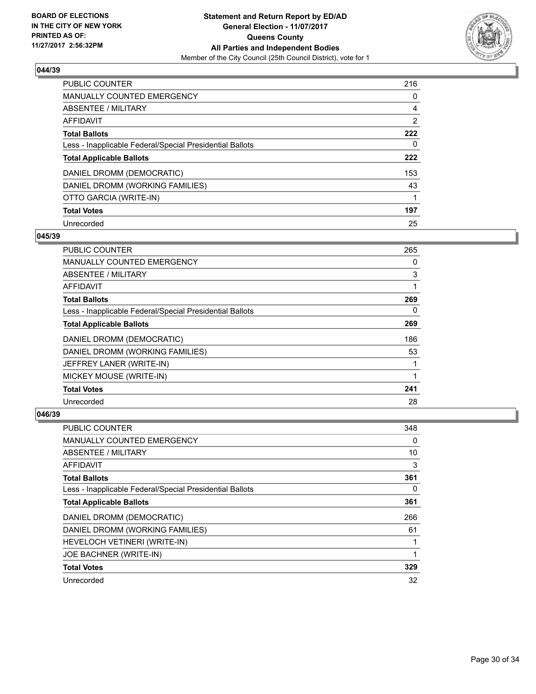

| <b>PUBLIC COUNTER</b>                                    | 216            |
|----------------------------------------------------------|----------------|
| <b>MANUALLY COUNTED EMERGENCY</b>                        | 0              |
| ABSENTEE / MILITARY                                      | 4              |
| AFFIDAVIT                                                | $\overline{2}$ |
| <b>Total Ballots</b>                                     | 222            |
| Less - Inapplicable Federal/Special Presidential Ballots | 0              |
| <b>Total Applicable Ballots</b>                          | 222            |
| DANIEL DROMM (DEMOCRATIC)                                | 153            |
| DANIEL DROMM (WORKING FAMILIES)                          | 43             |
| OTTO GARCIA (WRITE-IN)                                   |                |
| <b>Total Votes</b>                                       | 197            |
| Unrecorded                                               | 25             |

#### **045/39**

| <b>PUBLIC COUNTER</b>                                    | 265 |
|----------------------------------------------------------|-----|
| <b>MANUALLY COUNTED EMERGENCY</b>                        | 0   |
| ABSENTEE / MILITARY                                      | 3   |
| <b>AFFIDAVIT</b>                                         |     |
| <b>Total Ballots</b>                                     | 269 |
| Less - Inapplicable Federal/Special Presidential Ballots | 0   |
| <b>Total Applicable Ballots</b>                          | 269 |
| DANIEL DROMM (DEMOCRATIC)                                | 186 |
| DANIEL DROMM (WORKING FAMILIES)                          | 53  |
| JEFFREY LANER (WRITE-IN)                                 |     |
| MICKEY MOUSE (WRITE-IN)                                  |     |
| <b>Total Votes</b>                                       | 241 |
| Unrecorded                                               | 28  |

| <b>PUBLIC COUNTER</b>                                    | 348 |
|----------------------------------------------------------|-----|
| <b>MANUALLY COUNTED EMERGENCY</b>                        | 0   |
| ABSENTEE / MILITARY                                      | 10  |
| AFFIDAVIT                                                | 3   |
| <b>Total Ballots</b>                                     | 361 |
| Less - Inapplicable Federal/Special Presidential Ballots | 0   |
| <b>Total Applicable Ballots</b>                          | 361 |
| DANIEL DROMM (DEMOCRATIC)                                | 266 |
| DANIEL DROMM (WORKING FAMILIES)                          | 61  |
| HEVELOCH VETINERI (WRITE-IN)                             | 1   |
| JOE BACHNER (WRITE-IN)                                   |     |
| <b>Total Votes</b>                                       | 329 |
| Unrecorded                                               | 32  |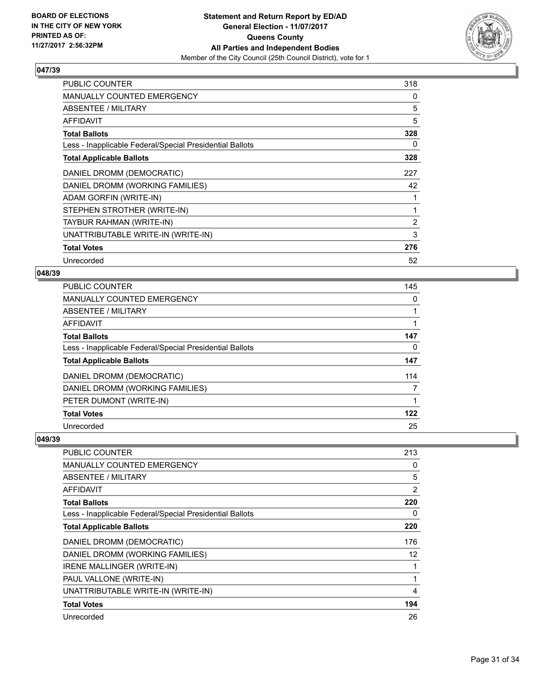

| <b>PUBLIC COUNTER</b>                                    | 318            |
|----------------------------------------------------------|----------------|
| MANUALLY COUNTED EMERGENCY                               | 0              |
| ABSENTEE / MILITARY                                      | 5              |
| <b>AFFIDAVIT</b>                                         | 5              |
| <b>Total Ballots</b>                                     | 328            |
| Less - Inapplicable Federal/Special Presidential Ballots | 0              |
| <b>Total Applicable Ballots</b>                          | 328            |
| DANIEL DROMM (DEMOCRATIC)                                | 227            |
| DANIEL DROMM (WORKING FAMILIES)                          | 42             |
| ADAM GORFIN (WRITE-IN)                                   |                |
| STEPHEN STROTHER (WRITE-IN)                              | 1              |
| TAYBUR RAHMAN (WRITE-IN)                                 | $\overline{2}$ |
| UNATTRIBUTABLE WRITE-IN (WRITE-IN)                       | 3              |
| <b>Total Votes</b>                                       | 276            |
| Unrecorded                                               | 52             |

## **048/39**

| PUBLIC COUNTER                                           | 145 |
|----------------------------------------------------------|-----|
| <b>MANUALLY COUNTED EMERGENCY</b>                        | 0   |
| ABSENTEE / MILITARY                                      |     |
| <b>AFFIDAVIT</b>                                         |     |
| <b>Total Ballots</b>                                     | 147 |
| Less - Inapplicable Federal/Special Presidential Ballots | 0   |
| <b>Total Applicable Ballots</b>                          | 147 |
| DANIEL DROMM (DEMOCRATIC)                                | 114 |
| DANIEL DROMM (WORKING FAMILIES)                          |     |
| PETER DUMONT (WRITE-IN)                                  | 1   |
| <b>Total Votes</b>                                       | 122 |
| Unrecorded                                               | 25  |

| <b>PUBLIC COUNTER</b>                                    | 213 |
|----------------------------------------------------------|-----|
| <b>MANUALLY COUNTED EMERGENCY</b>                        | 0   |
| ABSENTEE / MILITARY                                      | 5   |
| AFFIDAVIT                                                | 2   |
| <b>Total Ballots</b>                                     | 220 |
| Less - Inapplicable Federal/Special Presidential Ballots | 0   |
| <b>Total Applicable Ballots</b>                          | 220 |
| DANIEL DROMM (DEMOCRATIC)                                | 176 |
| DANIEL DROMM (WORKING FAMILIES)                          | 12  |
|                                                          |     |
| IRENE MALLINGER (WRITE-IN)                               |     |
| PAUL VALLONE (WRITE-IN)                                  |     |
| UNATTRIBUTABLE WRITE-IN (WRITE-IN)                       | 4   |
| <b>Total Votes</b>                                       | 194 |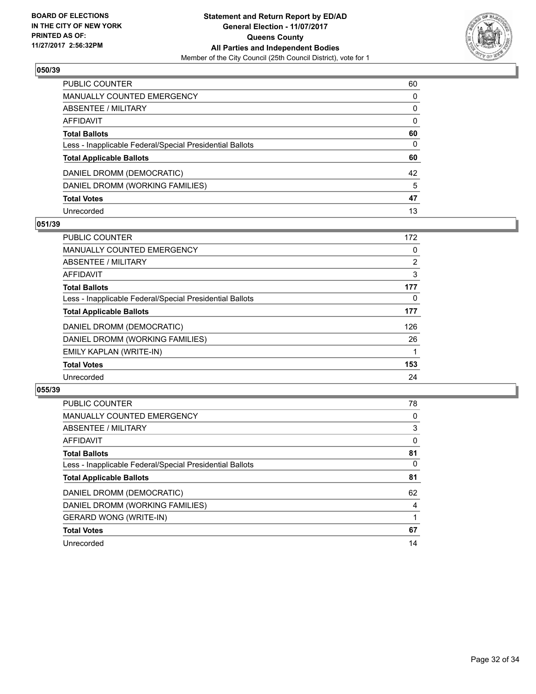

| PUBLIC COUNTER                                           | 60           |
|----------------------------------------------------------|--------------|
| <b>MANUALLY COUNTED EMERGENCY</b>                        | $\mathbf{0}$ |
| <b>ABSENTEE / MILITARY</b>                               | 0            |
| AFFIDAVIT                                                | $\mathbf{0}$ |
| <b>Total Ballots</b>                                     | 60           |
| Less - Inapplicable Federal/Special Presidential Ballots | 0            |
| <b>Total Applicable Ballots</b>                          | 60           |
| DANIEL DROMM (DEMOCRATIC)                                | 42           |
| DANIEL DROMM (WORKING FAMILIES)                          | 5            |
| <b>Total Votes</b>                                       | 47           |
| Unrecorded                                               | 13           |

### **051/39**

| <b>PUBLIC COUNTER</b>                                    | 172            |
|----------------------------------------------------------|----------------|
| MANUALLY COUNTED EMERGENCY                               | 0              |
| ABSENTEE / MILITARY                                      | $\overline{2}$ |
| <b>AFFIDAVIT</b>                                         | 3              |
| <b>Total Ballots</b>                                     | 177            |
| Less - Inapplicable Federal/Special Presidential Ballots | 0              |
| <b>Total Applicable Ballots</b>                          | 177            |
| DANIEL DROMM (DEMOCRATIC)                                | 126            |
| DANIEL DROMM (WORKING FAMILIES)                          | 26             |
| EMILY KAPLAN (WRITE-IN)                                  |                |
| <b>Total Votes</b>                                       | 153            |
| Unrecorded                                               | 24             |

| <b>PUBLIC COUNTER</b>                                    | 78       |
|----------------------------------------------------------|----------|
| <b>MANUALLY COUNTED EMERGENCY</b>                        | 0        |
| ABSENTEE / MILITARY                                      | 3        |
| <b>AFFIDAVIT</b>                                         | $\Omega$ |
| <b>Total Ballots</b>                                     | 81       |
| Less - Inapplicable Federal/Special Presidential Ballots | 0        |
| <b>Total Applicable Ballots</b>                          | 81       |
| DANIEL DROMM (DEMOCRATIC)                                | 62       |
| DANIEL DROMM (WORKING FAMILIES)                          | 4        |
| <b>GERARD WONG (WRITE-IN)</b>                            |          |
| <b>Total Votes</b>                                       | 67       |
| Unrecorded                                               | 14       |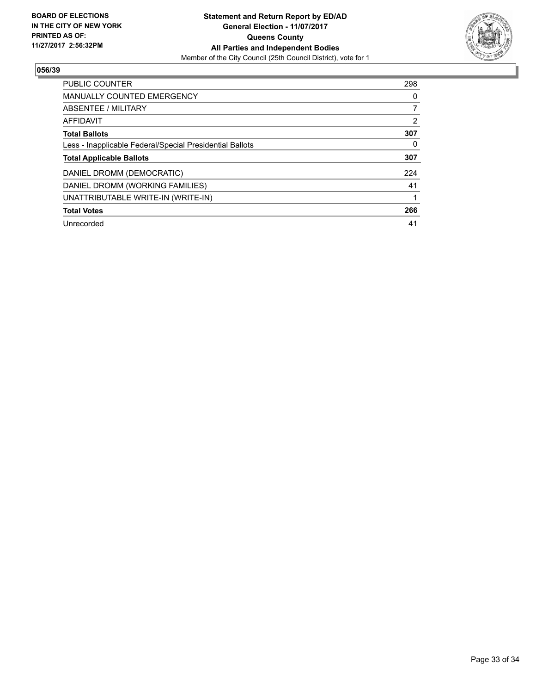

| <b>PUBLIC COUNTER</b>                                    | 298 |
|----------------------------------------------------------|-----|
| <b>MANUALLY COUNTED EMERGENCY</b>                        | 0   |
| ABSENTEE / MILITARY                                      | 7   |
| AFFIDAVIT                                                | 2   |
| <b>Total Ballots</b>                                     | 307 |
| Less - Inapplicable Federal/Special Presidential Ballots | 0   |
| <b>Total Applicable Ballots</b>                          | 307 |
| DANIEL DROMM (DEMOCRATIC)                                | 224 |
| DANIEL DROMM (WORKING FAMILIES)                          | 41  |
| UNATTRIBUTABLE WRITE-IN (WRITE-IN)                       |     |
| <b>Total Votes</b>                                       | 266 |
| Unrecorded                                               | 41  |